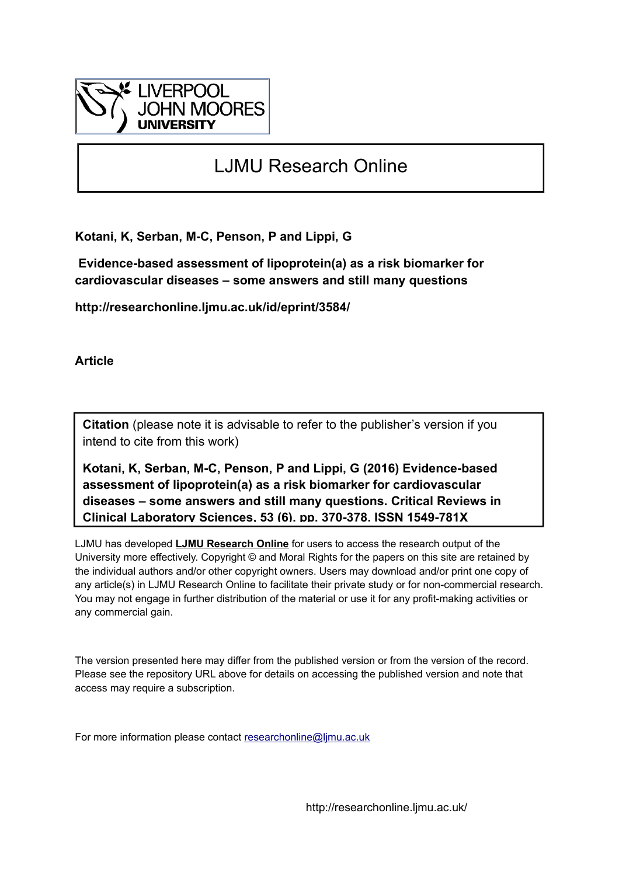

## LJMU Research Online

**Kotani, K, Serban, M-C, Penson, P and Lippi, G**

 **Evidence-based assessment of lipoprotein(a) as a risk biomarker for cardiovascular diseases – some answers and still many questions**

**http://researchonline.ljmu.ac.uk/id/eprint/3584/**

**Article**

**Citation** (please note it is advisable to refer to the publisher's version if you intend to cite from this work)

**Kotani, K, Serban, M-C, Penson, P and Lippi, G (2016) Evidence-based assessment of lipoprotein(a) as a risk biomarker for cardiovascular diseases – some answers and still many questions. Critical Reviews in Clinical Laboratory Sciences, 53 (6). pp. 370-378. ISSN 1549-781X** 

LJMU has developed **[LJMU Research Online](http://researchonline.ljmu.ac.uk/)** for users to access the research output of the University more effectively. Copyright © and Moral Rights for the papers on this site are retained by the individual authors and/or other copyright owners. Users may download and/or print one copy of any article(s) in LJMU Research Online to facilitate their private study or for non-commercial research. You may not engage in further distribution of the material or use it for any profit-making activities or any commercial gain.

The version presented here may differ from the published version or from the version of the record. Please see the repository URL above for details on accessing the published version and note that access may require a subscription.

For more information please contact [researchonline@ljmu.ac.uk](mailto:researchonline@ljmu.ac.uk)

http://researchonline.ljmu.ac.uk/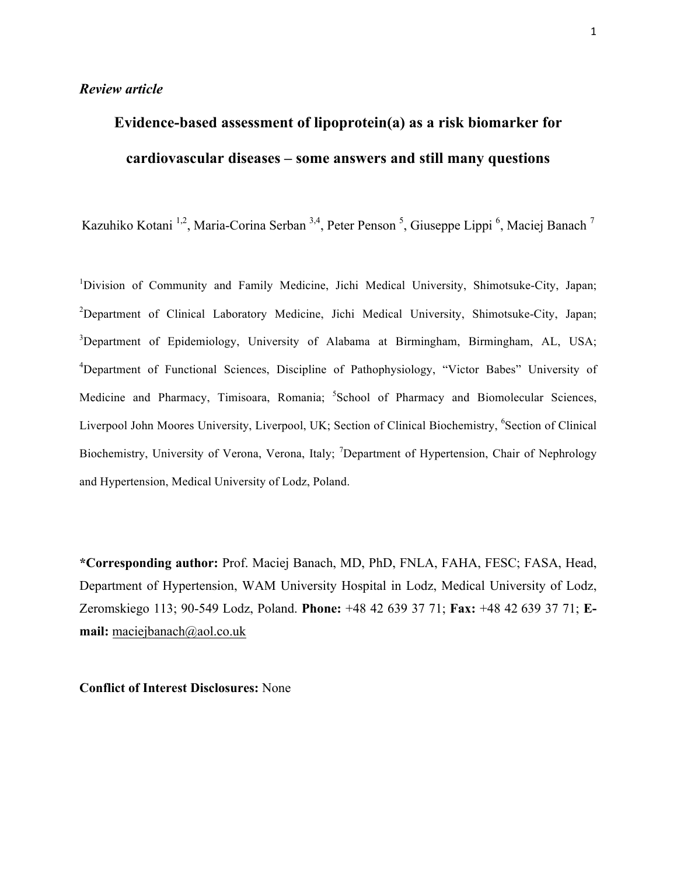# **Evidence-based assessment of lipoprotein(a) as a risk biomarker for cardiovascular diseases – some answers and still many questions**

Kazuhiko Kotani<sup>1,2</sup>, Maria-Corina Serban<sup>3,4</sup>, Peter Penson<sup>5</sup>, Giuseppe Lippi<sup>6</sup>, Maciej Banach<sup>7</sup>

<sup>1</sup>Division of Community and Family Medicine, Jichi Medical University, Shimotsuke-City, Japan; <sup>2</sup>Department of Clinical Laboratory Medicine, Jichi Medical University, Shimotsuke-City, Japan; <sup>3</sup>Department of Epidemiology, University of Alabama at Birmingham, Birmingham, AL, USA; <sup>4</sup>Department of Functional Sciences, Discipline of Pathophysiology, "Victor Babes" University of Medicine and Pharmacy, Timisoara, Romania; <sup>5</sup>School of Pharmacy and Biomolecular Sciences, Liverpool John Moores University, Liverpool, UK; Section of Clinical Biochemistry, <sup>6</sup>Section of Clinical Biochemistry, University of Verona, Verona, Italy; <sup>7</sup>Department of Hypertension, Chair of Nephrology and Hypertension, Medical University of Lodz, Poland.

**\*Corresponding author:** Prof. Maciej Banach, MD, PhD, FNLA, FAHA, FESC; FASA, Head, Department of Hypertension, WAM University Hospital in Lodz, Medical University of Lodz, Zeromskiego 113; 90-549 Lodz, Poland. **Phone:** +48 42 639 37 71; **Fax:** +48 42 639 37 71; **Email:** maciejbanach@aol.co.uk

**Conflict of Interest Disclosures:** None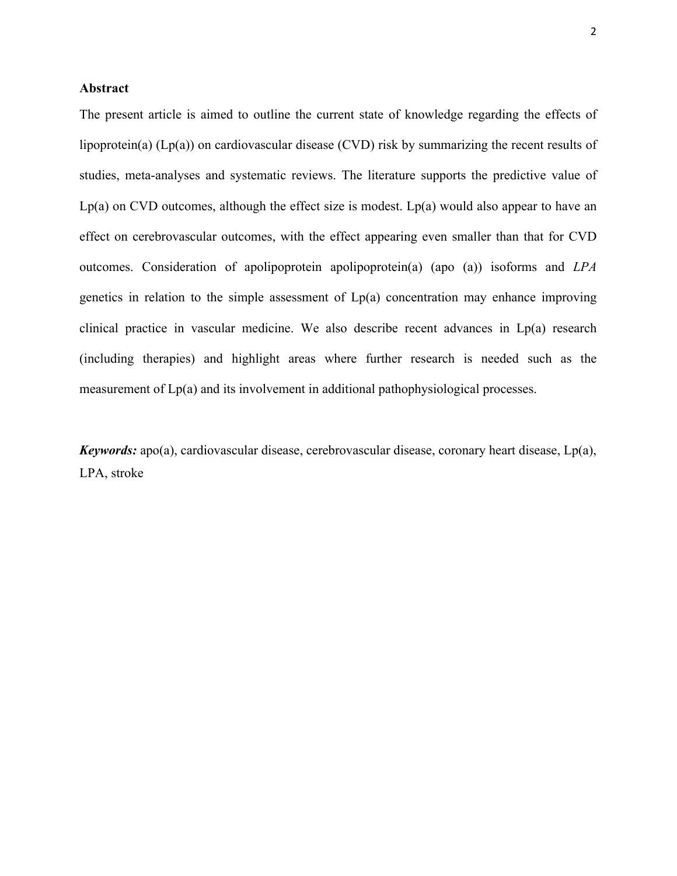#### **Abstract**

The present article is aimed to outline the current state of knowledge regarding the effects of lipoprotein(a) (Lp(a)) on cardiovascular disease (CVD) risk by summarizing the recent results of studies, meta-analyses and systematic reviews. The literature supports the predictive value of  $Lp(a)$  on CVD outcomes, although the effect size is modest.  $Lp(a)$  would also appear to have an effect on cerebrovascular outcomes, with the effect appearing even smaller than that for CVD outcomes. Consideration of apolipoprotein apolipoprotein(a) (apo (a)) isoforms and *LPA* genetics in relation to the simple assessment of Lp(a) concentration may enhance improving clinical practice in vascular medicine. We also describe recent advances in Lp(a) research (including therapies) and highlight areas where further research is needed such as the measurement of Lp(a) and its involvement in additional pathophysiological processes.

*Keywords:* apo(a), cardiovascular disease, cerebrovascular disease, coronary heart disease, Lp(a), LPA, stroke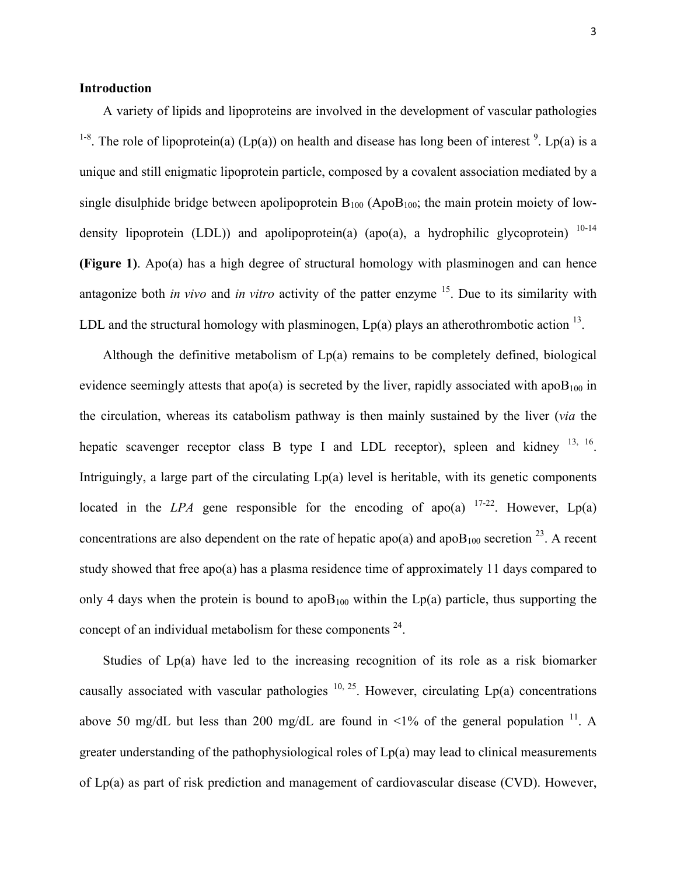#### **Introduction**

A variety of lipids and lipoproteins are involved in the development of vascular pathologies <sup>1-8</sup>. The role of lipoprotein(a) (Lp(a)) on health and disease has long been of interest <sup>9</sup>. Lp(a) is a unique and still enigmatic lipoprotein particle, composed by a covalent association mediated by a single disulphide bridge between apolipoprotein  $B_{100}$  (Apo $B_{100}$ ; the main protein moiety of lowdensity lipoprotein (LDL)) and apolipoprotein(a) (apo(a), a hydrophilic glycoprotein)  $10-14$ **(Figure 1)**. Apo(a) has a high degree of structural homology with plasminogen and can hence antagonize both *in vivo* and *in vitro* activity of the patter enzyme 15. Due to its similarity with LDL and the structural homology with plasminogen,  $Lp(a)$  plays an atherothrombotic action  $^{13}$ .

Although the definitive metabolism of  $Lp(a)$  remains to be completely defined, biological evidence seemingly attests that apo(a) is secreted by the liver, rapidly associated with apo $B_{100}$  in the circulation, whereas its catabolism pathway is then mainly sustained by the liver (*via* the hepatic scavenger receptor class B type I and LDL receptor), spleen and kidney  $^{13, 16}$ . Intriguingly, a large part of the circulating Lp(a) level is heritable, with its genetic components located in the *LPA* gene responsible for the encoding of apo(a)  $17-22$ . However, Lp(a) concentrations are also dependent on the rate of hepatic apo(a) and apo $B_{100}$  secretion <sup>23</sup>. A recent study showed that free apo(a) has a plasma residence time of approximately 11 days compared to only 4 days when the protein is bound to apo $B_{100}$  within the Lp(a) particle, thus supporting the concept of an individual metabolism for these components  $24$ .

Studies of Lp(a) have led to the increasing recognition of its role as a risk biomarker causally associated with vascular pathologies  $10, 25$ . However, circulating Lp(a) concentrations above 50 mg/dL but less than 200 mg/dL are found in  $\leq 1\%$  of the general population <sup>11</sup>. A greater understanding of the pathophysiological roles of Lp(a) may lead to clinical measurements of Lp(a) as part of risk prediction and management of cardiovascular disease (CVD). However,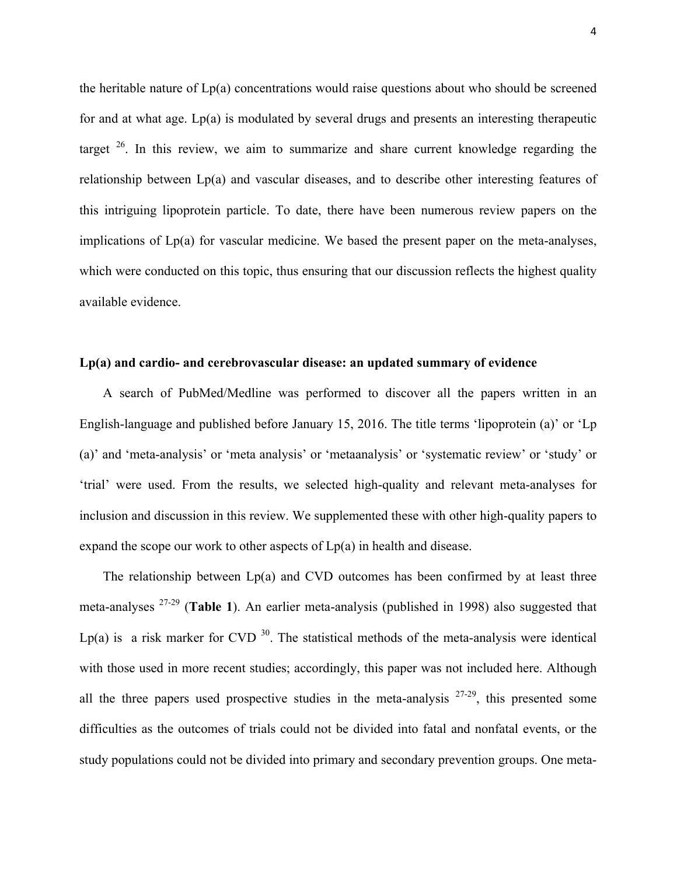the heritable nature of Lp(a) concentrations would raise questions about who should be screened for and at what age.  $Lp(a)$  is modulated by several drugs and presents an interesting therapeutic target  $26$ . In this review, we aim to summarize and share current knowledge regarding the relationship between Lp(a) and vascular diseases, and to describe other interesting features of this intriguing lipoprotein particle. To date, there have been numerous review papers on the implications of Lp(a) for vascular medicine. We based the present paper on the meta-analyses, which were conducted on this topic, thus ensuring that our discussion reflects the highest quality available evidence.

#### **Lp(a) and cardio- and cerebrovascular disease: an updated summary of evidence**

A search of PubMed/Medline was performed to discover all the papers written in an English-language and published before January 15, 2016. The title terms 'lipoprotein (a)' or 'Lp (a)' and 'meta-analysis' or 'meta analysis' or 'metaanalysis' or 'systematic review' or 'study' or 'trial' were used. From the results, we selected high-quality and relevant meta-analyses for inclusion and discussion in this review. We supplemented these with other high-quality papers to expand the scope our work to other aspects of  $Lp(a)$  in health and disease.

The relationship between Lp(a) and CVD outcomes has been confirmed by at least three meta-analyses 27-29 (**Table 1**). An earlier meta-analysis (published in 1998) also suggested that Lp(a) is a risk marker for CVD<sup>30</sup>. The statistical methods of the meta-analysis were identical with those used in more recent studies; accordingly, this paper was not included here. Although all the three papers used prospective studies in the meta-analysis  $27-29$ , this presented some difficulties as the outcomes of trials could not be divided into fatal and nonfatal events, or the study populations could not be divided into primary and secondary prevention groups. One meta-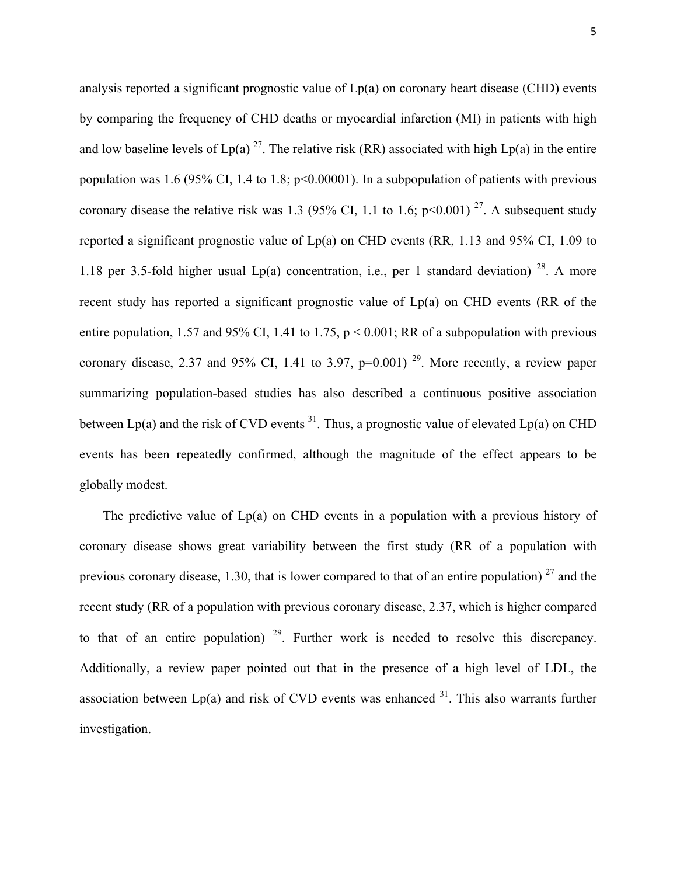analysis reported a significant prognostic value of Lp(a) on coronary heart disease (CHD) events by comparing the frequency of CHD deaths or myocardial infarction (MI) in patients with high and low baseline levels of  $Lp(a)$ <sup>27</sup>. The relative risk (RR) associated with high  $Lp(a)$  in the entire population was 1.6 (95% CI, 1.4 to 1.8; p<0.00001). In a subpopulation of patients with previous coronary disease the relative risk was 1.3 (95% CI, 1.1 to 1.6;  $p \le 0.001$ )<sup>27</sup>. A subsequent study reported a significant prognostic value of Lp(a) on CHD events (RR, 1.13 and 95% CI, 1.09 to 1.18 per 3.5-fold higher usual  $Lp(a)$  concentration, i.e., per 1 standard deviation) <sup>28</sup>. A more recent study has reported a significant prognostic value of Lp(a) on CHD events (RR of the entire population, 1.57 and 95% CI, 1.41 to 1.75,  $p < 0.001$ ; RR of a subpopulation with previous coronary disease, 2.37 and 95% CI, 1.41 to 3.97,  $p=0.001$ )<sup>29</sup>. More recently, a review paper summarizing population-based studies has also described a continuous positive association between  $Lp(a)$  and the risk of CVD events  $31$ . Thus, a prognostic value of elevated  $Lp(a)$  on CHD events has been repeatedly confirmed, although the magnitude of the effect appears to be globally modest.

The predictive value of Lp(a) on CHD events in a population with a previous history of coronary disease shows great variability between the first study (RR of a population with previous coronary disease, 1.30, that is lower compared to that of an entire population)  $^{27}$  and the recent study (RR of a population with previous coronary disease, 2.37, which is higher compared to that of an entire population)  $29$ . Further work is needed to resolve this discrepancy. Additionally, a review paper pointed out that in the presence of a high level of LDL, the association between  $Lp(a)$  and risk of CVD events was enhanced  $3<sup>1</sup>$ . This also warrants further investigation.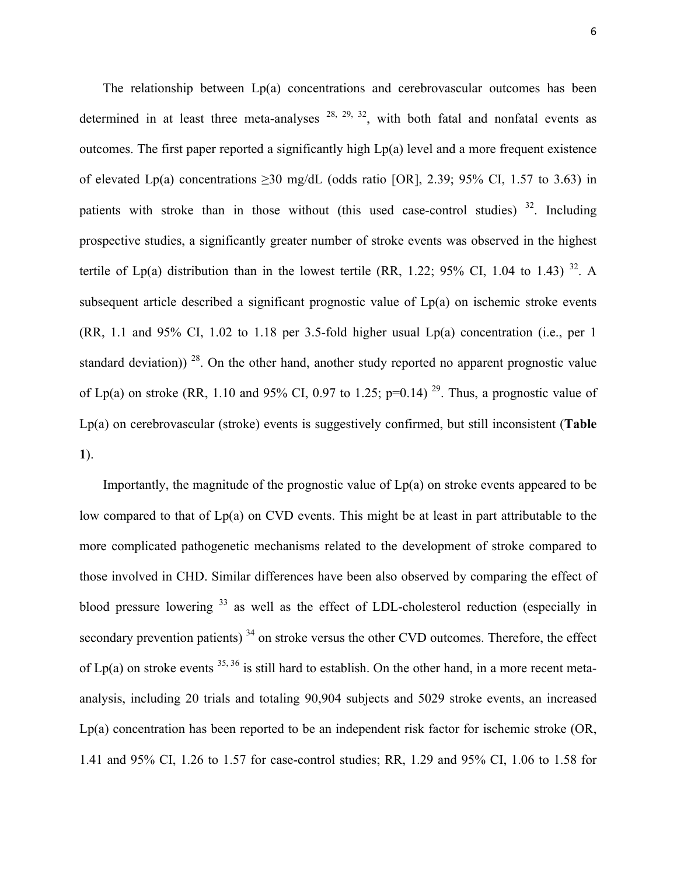The relationship between Lp(a) concentrations and cerebrovascular outcomes has been determined in at least three meta-analyses  $28$ ,  $29$ ,  $32$ , with both fatal and nonfatal events as outcomes. The first paper reported a significantly high Lp(a) level and a more frequent existence of elevated Lp(a) concentrations  $\geq$ 30 mg/dL (odds ratio [OR], 2.39; 95% CI, 1.57 to 3.63) in patients with stroke than in those without (this used case-control studies)  $32$ . Including prospective studies, a significantly greater number of stroke events was observed in the highest tertile of Lp(a) distribution than in the lowest tertile (RR, 1.22; 95% CI, 1.04 to 1.43) <sup>32</sup>. A subsequent article described a significant prognostic value of Lp(a) on ischemic stroke events (RR, 1.1 and 95% CI, 1.02 to 1.18 per 3.5-fold higher usual Lp(a) concentration (i.e., per 1 standard deviation))<sup>28</sup>. On the other hand, another study reported no apparent prognostic value of Lp(a) on stroke (RR, 1.10 and 95% CI, 0.97 to 1.25; p=0.14)<sup>29</sup>. Thus, a prognostic value of Lp(a) on cerebrovascular (stroke) events is suggestively confirmed, but still inconsistent (**Table 1**).

Importantly, the magnitude of the prognostic value of Lp(a) on stroke events appeared to be low compared to that of Lp(a) on CVD events. This might be at least in part attributable to the more complicated pathogenetic mechanisms related to the development of stroke compared to those involved in CHD. Similar differences have been also observed by comparing the effect of blood pressure lowering <sup>33</sup> as well as the effect of LDL-cholesterol reduction (especially in secondary prevention patients)<sup>34</sup> on stroke versus the other CVD outcomes. Therefore, the effect of Lp(a) on stroke events  $35, 36$  is still hard to establish. On the other hand, in a more recent metaanalysis, including 20 trials and totaling 90,904 subjects and 5029 stroke events, an increased Lp(a) concentration has been reported to be an independent risk factor for ischemic stroke (OR, 1.41 and 95% CI, 1.26 to 1.57 for case-control studies; RR, 1.29 and 95% CI, 1.06 to 1.58 for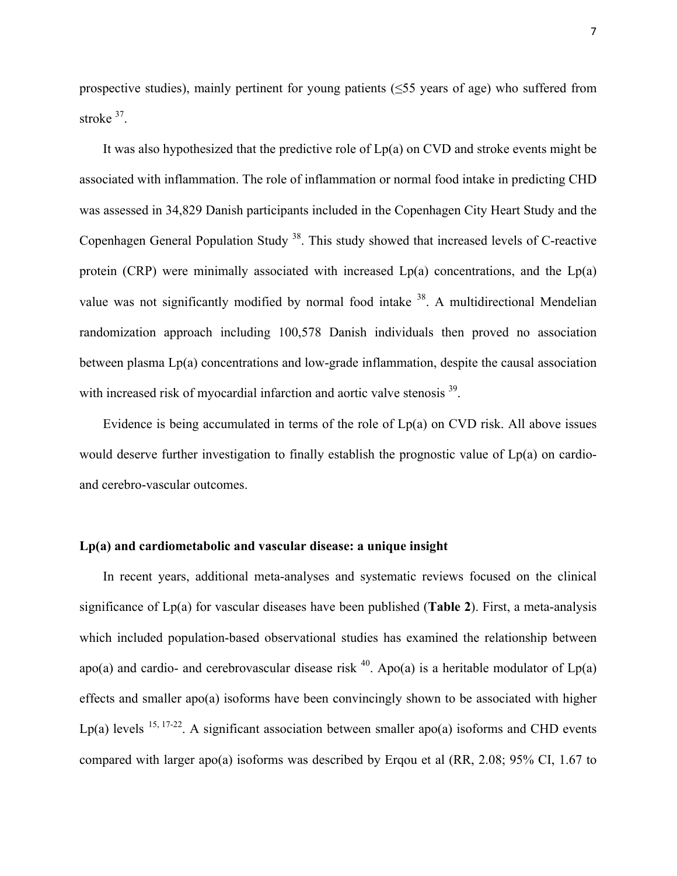prospective studies), mainly pertinent for young patients (≤55 years of age) who suffered from stroke 37.

It was also hypothesized that the predictive role of  $Lp(a)$  on CVD and stroke events might be associated with inflammation. The role of inflammation or normal food intake in predicting CHD was assessed in 34,829 Danish participants included in the Copenhagen City Heart Study and the Copenhagen General Population Study 38. This study showed that increased levels of C-reactive protein (CRP) were minimally associated with increased  $Lp(a)$  concentrations, and the  $Lp(a)$ value was not significantly modified by normal food intake  $38$ . A multidirectional Mendelian randomization approach including 100,578 Danish individuals then proved no association between plasma Lp(a) concentrations and low-grade inflammation, despite the causal association with increased risk of myocardial infarction and aortic valve stenosis <sup>39</sup>.

Evidence is being accumulated in terms of the role of Lp(a) on CVD risk. All above issues would deserve further investigation to finally establish the prognostic value of Lp(a) on cardioand cerebro-vascular outcomes.

#### **Lp(a) and cardiometabolic and vascular disease: a unique insight**

In recent years, additional meta-analyses and systematic reviews focused on the clinical significance of Lp(a) for vascular diseases have been published (**Table 2**). First, a meta-analysis which included population-based observational studies has examined the relationship between apo(a) and cardio- and cerebrovascular disease risk <sup>40</sup>. Apo(a) is a heritable modulator of  $Lp(a)$ effects and smaller apo(a) isoforms have been convincingly shown to be associated with higher Lp(a) levels  $15, 17-22$ . A significant association between smaller apo(a) isoforms and CHD events compared with larger apo(a) isoforms was described by Erqou et al (RR, 2.08; 95% CI, 1.67 to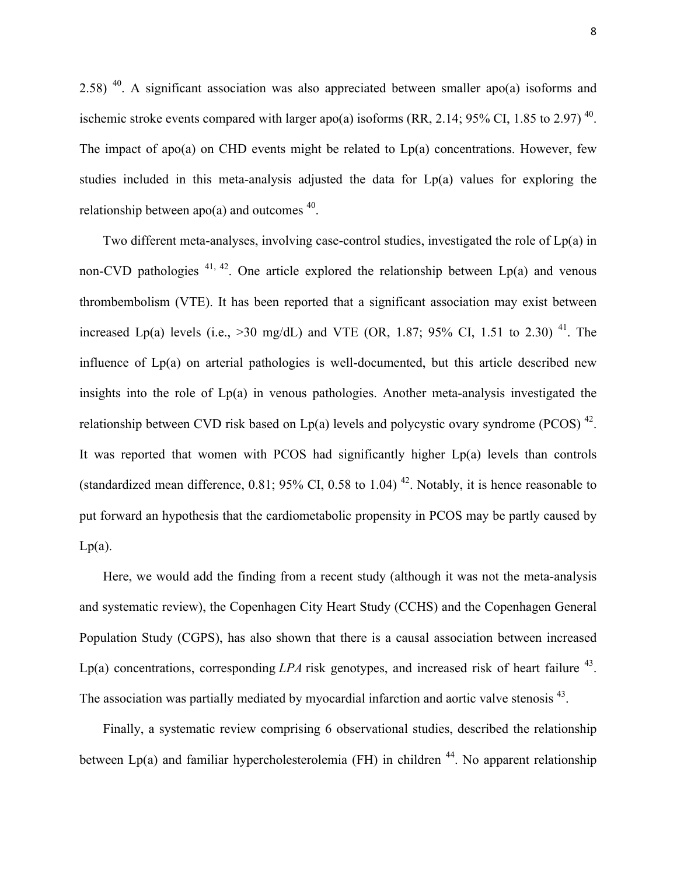2.58) <sup>40</sup>. A significant association was also appreciated between smaller apo(a) isoforms and ischemic stroke events compared with larger apo(a) isoforms (RR, 2.14; 95% CI, 1.85 to 2.97)<sup>40</sup>. The impact of apo(a) on CHD events might be related to  $Lp(a)$  concentrations. However, few studies included in this meta-analysis adjusted the data for Lp(a) values for exploring the relationship between apo(a) and outcomes  $40$ .

Two different meta-analyses, involving case-control studies, investigated the role of Lp(a) in non-CVD pathologies  $41, 42$ . One article explored the relationship between Lp(a) and venous thrombembolism (VTE). It has been reported that a significant association may exist between increased Lp(a) levels (i.e.,  $>30 \text{ mg/dL}$ ) and VTE (OR, 1.87; 95% CI, 1.51 to 2.30)<sup>41</sup>. The influence of Lp(a) on arterial pathologies is well-documented, but this article described new insights into the role of Lp(a) in venous pathologies. Another meta-analysis investigated the relationship between CVD risk based on Lp(a) levels and polycystic ovary syndrome (PCOS)  $^{42}$ . It was reported that women with PCOS had significantly higher Lp(a) levels than controls (standardized mean difference,  $0.81$ ;  $95\%$  CI,  $0.58$  to  $1.04$ )<sup>42</sup>. Notably, it is hence reasonable to put forward an hypothesis that the cardiometabolic propensity in PCOS may be partly caused by  $Lp(a)$ .

Here, we would add the finding from a recent study (although it was not the meta-analysis and systematic review), the Copenhagen City Heart Study (CCHS) and the Copenhagen General Population Study (CGPS), has also shown that there is a causal association between increased Lp(a) concentrations, corresponding  $LPA$  risk genotypes, and increased risk of heart failure  $^{43}$ . The association was partially mediated by myocardial infarction and aortic valve stenosis <sup>43</sup>.

Finally, a systematic review comprising 6 observational studies, described the relationship between  $Lp(a)$  and familiar hypercholesterolemia (FH) in children <sup>44</sup>. No apparent relationship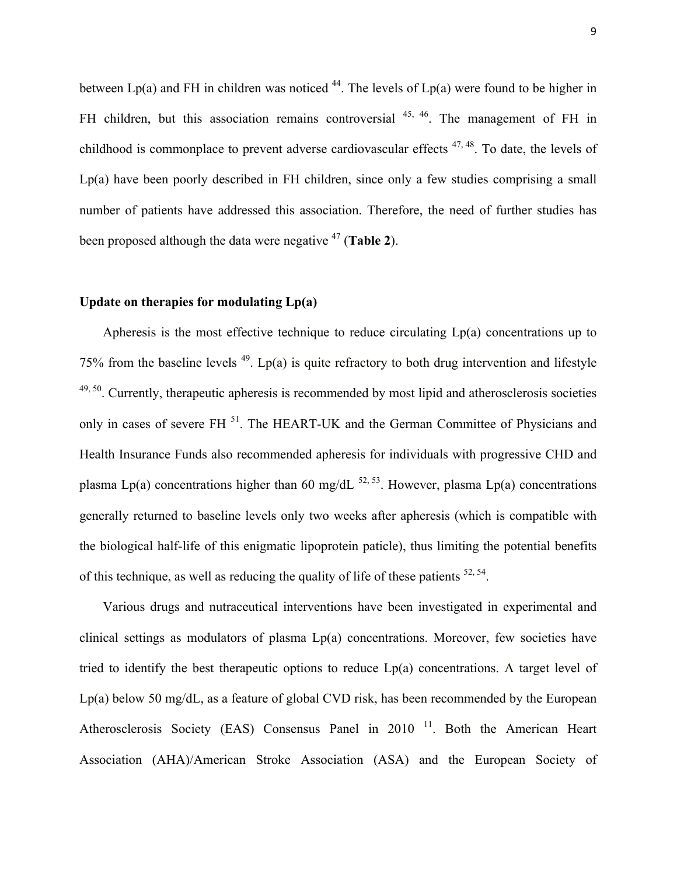between  $Lp(a)$  and FH in children was noticed <sup>44</sup>. The levels of  $Lp(a)$  were found to be higher in FH children, but this association remains controversial <sup>45, 46</sup>. The management of FH in childhood is commonplace to prevent adverse cardiovascular effects  $47, 48$ . To date, the levels of Lp(a) have been poorly described in FH children, since only a few studies comprising a small number of patients have addressed this association. Therefore, the need of further studies has been proposed although the data were negative <sup>47</sup> (**Table 2**).

#### **Update on therapies for modulating Lp(a)**

Apheresis is the most effective technique to reduce circulating Lp(a) concentrations up to 75% from the baseline levels  $49$ . Lp(a) is quite refractory to both drug intervention and lifestyle  $49,50$ . Currently, therapeutic apheresis is recommended by most lipid and atherosclerosis societies only in cases of severe FH<sup>51</sup>. The HEART-UK and the German Committee of Physicians and Health Insurance Funds also recommended apheresis for individuals with progressive CHD and plasma Lp(a) concentrations higher than 60 mg/dL  $^{52, 53}$ . However, plasma Lp(a) concentrations generally returned to baseline levels only two weeks after apheresis (which is compatible with the biological half-life of this enigmatic lipoprotein paticle), thus limiting the potential benefits of this technique, as well as reducing the quality of life of these patients  $52, 54$ .

Various drugs and nutraceutical interventions have been investigated in experimental and clinical settings as modulators of plasma Lp(a) concentrations. Moreover, few societies have tried to identify the best therapeutic options to reduce Lp(a) concentrations. A target level of Lp(a) below 50 mg/dL, as a feature of global CVD risk, has been recommended by the European Atherosclerosis Society (EAS) Consensus Panel in 2010<sup>11</sup>. Both the American Heart Association (AHA)/American Stroke Association (ASA) and the European Society of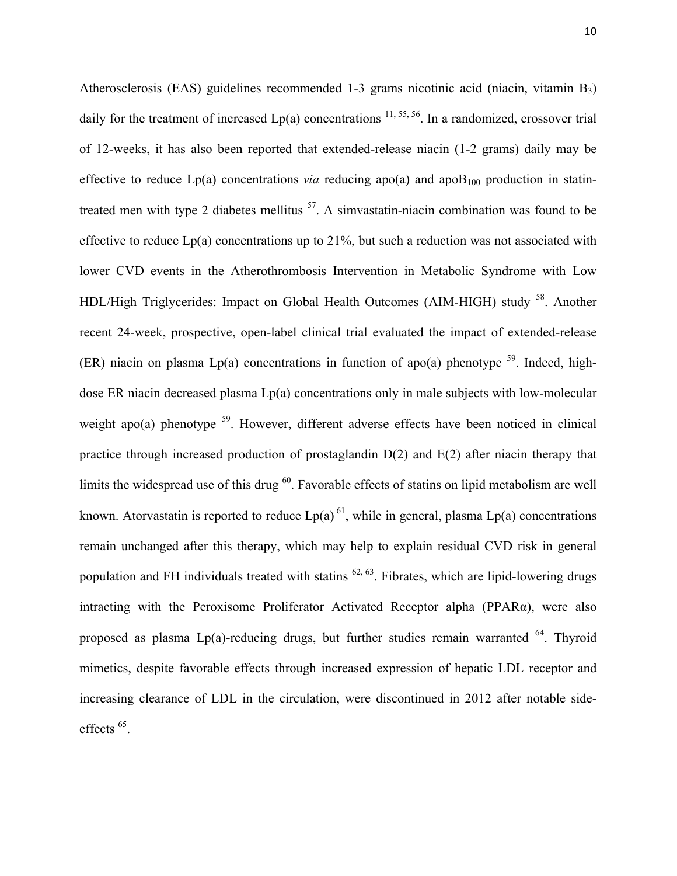Atherosclerosis (EAS) guidelines recommended 1-3 grams nicotinic acid (niacin, vitamin B3) daily for the treatment of increased  $Lp(a)$  concentrations  $^{11, 55, 56}$ . In a randomized, crossover trial of 12-weeks, it has also been reported that extended-release niacin (1-2 grams) daily may be effective to reduce  $Lp(a)$  concentrations *via* reducing apo(a) and apo $B_{100}$  production in statintreated men with type 2 diabetes mellitus  $57$ . A simvastatin-niacin combination was found to be effective to reduce Lp(a) concentrations up to 21%, but such a reduction was not associated with lower CVD events in the Atherothrombosis Intervention in Metabolic Syndrome with Low HDL/High Triglycerides: Impact on Global Health Outcomes (AIM-HIGH) study <sup>58</sup>. Another recent 24-week, prospective, open-label clinical trial evaluated the impact of extended-release (ER) niacin on plasma Lp(a) concentrations in function of apo(a) phenotype  $^{59}$ . Indeed, highdose ER niacin decreased plasma Lp(a) concentrations only in male subjects with low-molecular weight apo(a) phenotype  $59$ . However, different adverse effects have been noticed in clinical practice through increased production of prostaglandin D(2) and E(2) after niacin therapy that limits the widespread use of this drug <sup>60</sup>. Favorable effects of statins on lipid metabolism are well known. Atorvastatin is reported to reduce  $Lp(a)^{61}$ , while in general, plasma  $Lp(a)$  concentrations remain unchanged after this therapy, which may help to explain residual CVD risk in general population and FH individuals treated with statins  $^{62, 63}$ . Fibrates, which are lipid-lowering drugs intracting with the Peroxisome Proliferator Activated Receptor alpha (PPARα), were also proposed as plasma  $Lp(a)$ -reducing drugs, but further studies remain warranted  $^{64}$ . Thyroid mimetics, despite favorable effects through increased expression of hepatic LDL receptor and increasing clearance of LDL in the circulation, were discontinued in 2012 after notable sideeffects<sup>65</sup>.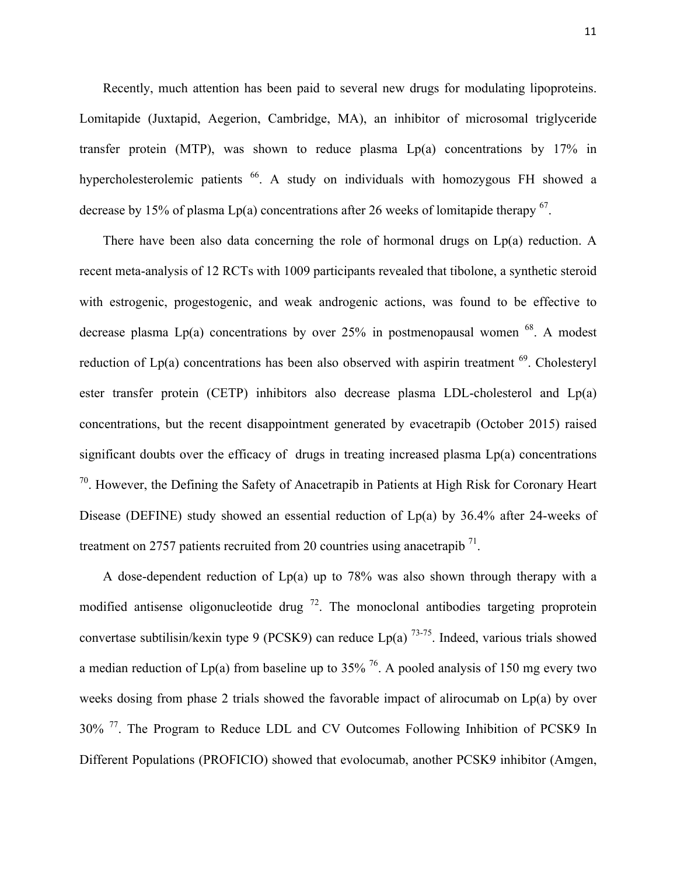Recently, much attention has been paid to several new drugs for modulating lipoproteins. Lomitapide (Juxtapid, Aegerion, Cambridge, MA), an inhibitor of microsomal triglyceride transfer protein (MTP), was shown to reduce plasma  $Lp(a)$  concentrations by 17% in hypercholesterolemic patients <sup>66</sup>. A study on individuals with homozygous FH showed a decrease by 15% of plasma  $Lp(a)$  concentrations after 26 weeks of lomitapide therapy  $^{67}$ .

There have been also data concerning the role of hormonal drugs on Lp(a) reduction. A recent meta-analysis of 12 RCTs with 1009 participants revealed that tibolone, a synthetic steroid with estrogenic, progestogenic, and weak androgenic actions, was found to be effective to decrease plasma  $Lp(a)$  concentrations by over 25% in postmenopausal women  $^{68}$ . A modest reduction of  $Lp(a)$  concentrations has been also observed with aspirin treatment  $69$ . Cholesteryl ester transfer protein (CETP) inhibitors also decrease plasma LDL-cholesterol and Lp(a) concentrations, but the recent disappointment generated by evacetrapib (October 2015) raised significant doubts over the efficacy of drugs in treating increased plasma Lp(a) concentrations  $70$ . However, the Defining the Safety of Anacetrapib in Patients at High Risk for Coronary Heart Disease (DEFINE) study showed an essential reduction of Lp(a) by 36.4% after 24-weeks of treatment on 2757 patients recruited from 20 countries using anacetrapib<sup>71</sup>.

A dose-dependent reduction of Lp(a) up to 78% was also shown through therapy with a modified antisense oligonucleotide drug  $^{72}$ . The monoclonal antibodies targeting proprotein convertase subtilisin/kexin type 9 (PCSK9) can reduce  $Lp(a)$  <sup>73-75</sup>. Indeed, various trials showed a median reduction of  $Lp(a)$  from baseline up to 35% <sup>76</sup>. A pooled analysis of 150 mg every two weeks dosing from phase 2 trials showed the favorable impact of alirocumab on Lp(a) by over 30% 77. The Program to Reduce LDL and CV Outcomes Following Inhibition of PCSK9 In Different Populations (PROFICIO) showed that evolocumab, another PCSK9 inhibitor (Amgen,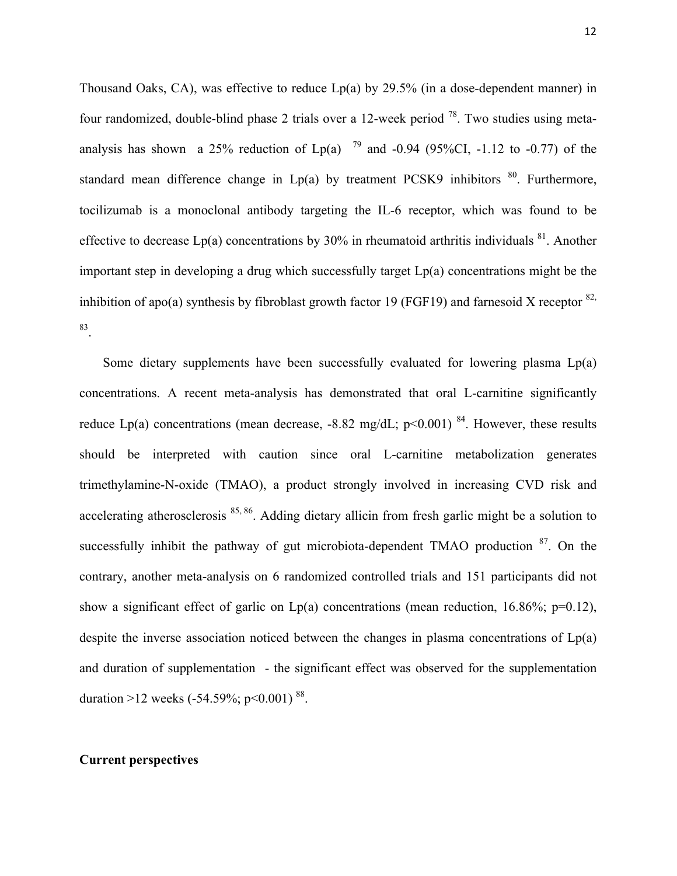Thousand Oaks, CA), was effective to reduce Lp(a) by 29.5% (in a dose-dependent manner) in four randomized, double-blind phase 2 trials over a 12-week period  $^{78}$ . Two studies using metaanalysis has shown a 25% reduction of Lp(a)  $^{79}$  and -0.94 (95%CI, -1.12 to -0.77) of the standard mean difference change in  $Lp(a)$  by treatment PCSK9 inhibitors  $80$ . Furthermore, tocilizumab is a monoclonal antibody targeting the IL-6 receptor, which was found to be effective to decrease  $Lp(a)$  concentrations by 30% in rheumatoid arthritis individuals  $^{81}$ . Another important step in developing a drug which successfully target  $Lp(a)$  concentrations might be the inhibition of apo(a) synthesis by fibroblast growth factor 19 (FGF19) and farnesoid X receptor  $82$ , 83 .

Some dietary supplements have been successfully evaluated for lowering plasma Lp(a) concentrations. A recent meta-analysis has demonstrated that oral L-carnitine significantly reduce Lp(a) concentrations (mean decrease, -8.82 mg/dL;  $p<0.001$ )<sup>84</sup>. However, these results should be interpreted with caution since oral L-carnitine metabolization generates trimethylamine-N-oxide (TMAO), a product strongly involved in increasing CVD risk and accelerating atherosclerosis <sup>85, 86</sup>. Adding dietary allicin from fresh garlic might be a solution to successfully inhibit the pathway of gut microbiota-dependent TMAO production  $87$ . On the contrary, another meta-analysis on 6 randomized controlled trials and 151 participants did not show a significant effect of garlic on  $Lp(a)$  concentrations (mean reduction, 16.86%; p=0.12), despite the inverse association noticed between the changes in plasma concentrations of Lp(a) and duration of supplementation - the significant effect was observed for the supplementation duration >12 weeks  $(-54.59\%; p<0.001)^{88}$ .

#### **Current perspectives**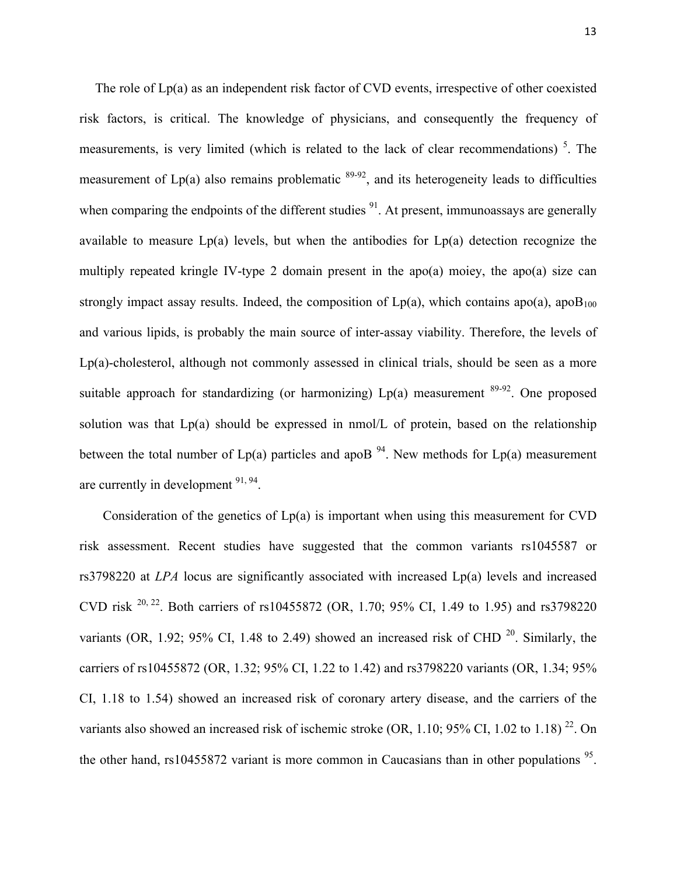The role of Lp(a) as an independent risk factor of CVD events, irrespective of other coexisted risk factors, is critical. The knowledge of physicians, and consequently the frequency of measurements, is very limited (which is related to the lack of clear recommendations)<sup>5</sup>. The measurement of  $Lp(a)$  also remains problematic  $89-92$ , and its heterogeneity leads to difficulties when comparing the endpoints of the different studies  $91$ . At present, immunoassays are generally available to measure Lp(a) levels, but when the antibodies for Lp(a) detection recognize the multiply repeated kringle IV-type 2 domain present in the apo(a) moiey, the apo(a) size can strongly impact assay results. Indeed, the composition of  $Lp(a)$ , which contains apo(a), apo $B_{100}$ and various lipids, is probably the main source of inter-assay viability. Therefore, the levels of Lp(a)-cholesterol, although not commonly assessed in clinical trials, should be seen as a more suitable approach for standardizing (or harmonizing)  $Lp(a)$  measurement  $89-92$ . One proposed solution was that Lp(a) should be expressed in nmol/L of protein, based on the relationship between the total number of  $Lp(a)$  particles and apoB <sup>94</sup>. New methods for  $Lp(a)$  measurement are currently in development  $91, 94$ .

Consideration of the genetics of  $Lp(a)$  is important when using this measurement for CVD risk assessment. Recent studies have suggested that the common variants rs1045587 or rs3798220 at *LPA* locus are significantly associated with increased Lp(a) levels and increased CVD risk 20, 22. Both carriers of rs10455872 (OR, 1.70; 95% CI, 1.49 to 1.95) and rs3798220 variants (OR, 1.92; 95% CI, 1.48 to 2.49) showed an increased risk of CHD  $^{20}$ . Similarly, the carriers of rs10455872 (OR, 1.32; 95% CI, 1.22 to 1.42) and rs3798220 variants (OR, 1.34; 95% CI, 1.18 to 1.54) showed an increased risk of coronary artery disease, and the carriers of the variants also showed an increased risk of ischemic stroke (OR, 1.10; 95% CI, 1.02 to 1.18)<sup>22</sup>. On the other hand, rs10455872 variant is more common in Caucasians than in other populations  $95$ .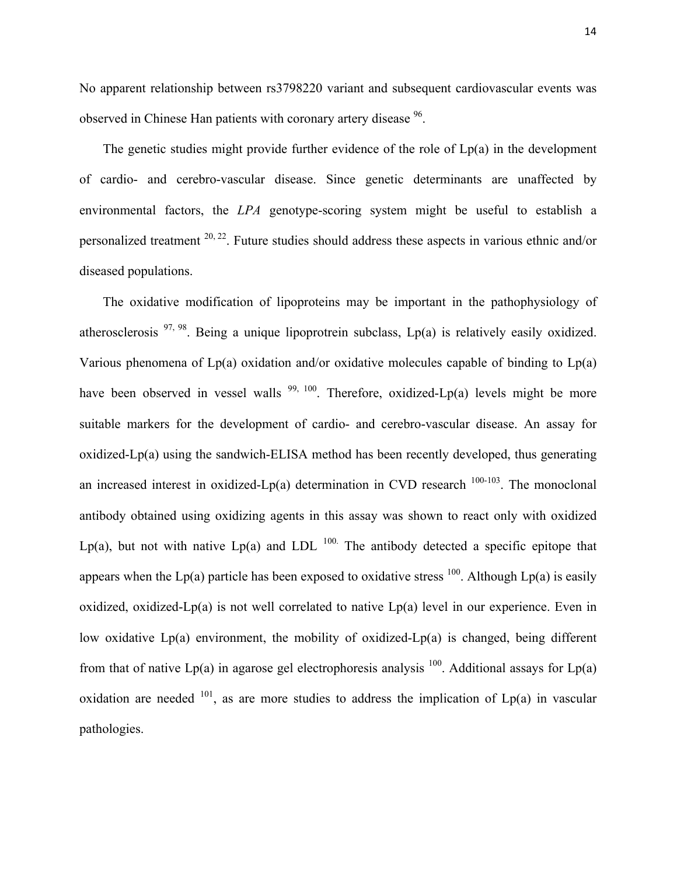No apparent relationship between rs3798220 variant and subsequent cardiovascular events was observed in Chinese Han patients with coronary artery disease <sup>96</sup>.

The genetic studies might provide further evidence of the role of Lp(a) in the development of cardio- and cerebro-vascular disease. Since genetic determinants are unaffected by environmental factors, the *LPA* genotype-scoring system might be useful to establish a personalized treatment 20, 22. Future studies should address these aspects in various ethnic and/or diseased populations.

The oxidative modification of lipoproteins may be important in the pathophysiology of atherosclerosis  $97, 98$ . Being a unique lipoprotrein subclass, Lp(a) is relatively easily oxidized. Various phenomena of  $Lp(a)$  oxidation and/or oxidative molecules capable of binding to  $Lp(a)$ have been observed in vessel walls  $99, 100$ . Therefore, oxidized-Lp(a) levels might be more suitable markers for the development of cardio- and cerebro-vascular disease. An assay for oxidized-Lp(a) using the sandwich-ELISA method has been recently developed, thus generating an increased interest in oxidized-Lp(a) determination in CVD research  $100-103$ . The monoclonal antibody obtained using oxidizing agents in this assay was shown to react only with oxidized Lp(a), but not with native Lp(a) and LDL  $^{100}$ . The antibody detected a specific epitope that appears when the Lp(a) particle has been exposed to oxidative stress <sup>100</sup>. Although Lp(a) is easily oxidized, oxidized-Lp(a) is not well correlated to native Lp(a) level in our experience. Even in low oxidative Lp(a) environment, the mobility of oxidized-Lp(a) is changed, being different from that of native Lp(a) in agarose gel electrophoresis analysis  $100$ . Additional assays for Lp(a) oxidation are needed  $101$ , as are more studies to address the implication of  $Lp(a)$  in vascular pathologies.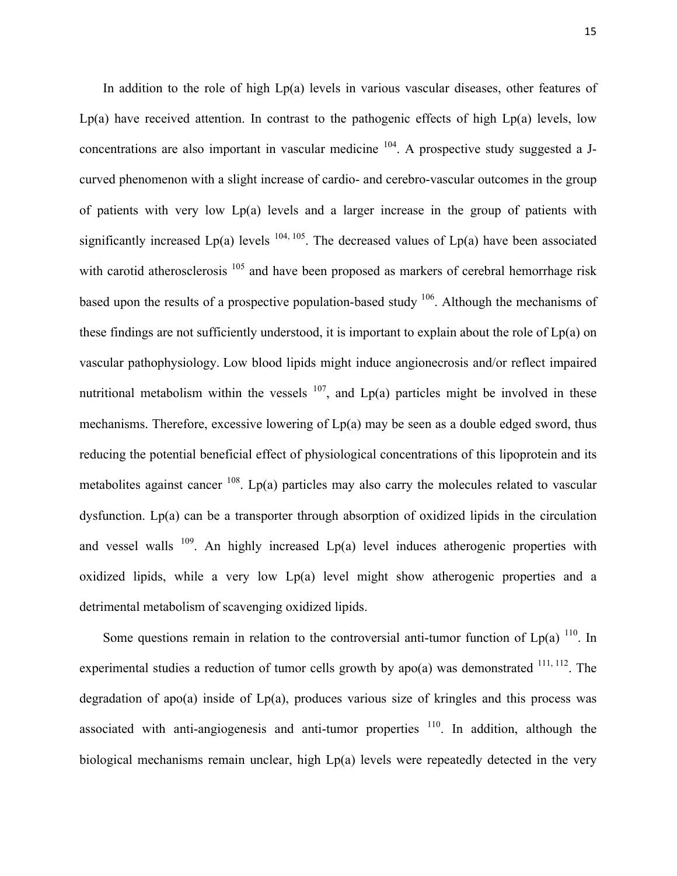In addition to the role of high Lp(a) levels in various vascular diseases, other features of  $Lp(a)$  have received attention. In contrast to the pathogenic effects of high  $Lp(a)$  levels, low concentrations are also important in vascular medicine  $104$ . A prospective study suggested a Jcurved phenomenon with a slight increase of cardio- and cerebro-vascular outcomes in the group of patients with very low Lp(a) levels and a larger increase in the group of patients with significantly increased  $Lp(a)$  levels  $^{104, 105}$ . The decreased values of  $Lp(a)$  have been associated with carotid atherosclerosis <sup>105</sup> and have been proposed as markers of cerebral hemorrhage risk based upon the results of a prospective population-based study  $106$ . Although the mechanisms of these findings are not sufficiently understood, it is important to explain about the role of Lp(a) on vascular pathophysiology. Low blood lipids might induce angionecrosis and/or reflect impaired nutritional metabolism within the vessels  $107$ , and Lp(a) particles might be involved in these mechanisms. Therefore, excessive lowering of Lp(a) may be seen as a double edged sword, thus reducing the potential beneficial effect of physiological concentrations of this lipoprotein and its metabolites against cancer  $^{108}$ . Lp(a) particles may also carry the molecules related to vascular dysfunction. Lp(a) can be a transporter through absorption of oxidized lipids in the circulation and vessel walls  $109$ . An highly increased Lp(a) level induces atherogenic properties with oxidized lipids, while a very low Lp(a) level might show atherogenic properties and a detrimental metabolism of scavenging oxidized lipids.

Some questions remain in relation to the controversial anti-tumor function of  $Lp(a)$  <sup>110</sup>. In experimental studies a reduction of tumor cells growth by apo(a) was demonstrated  $^{111, 112}$ . The degradation of apo(a) inside of Lp(a), produces various size of kringles and this process was associated with anti-angiogenesis and anti-tumor properties  $110$ . In addition, although the biological mechanisms remain unclear, high Lp(a) levels were repeatedly detected in the very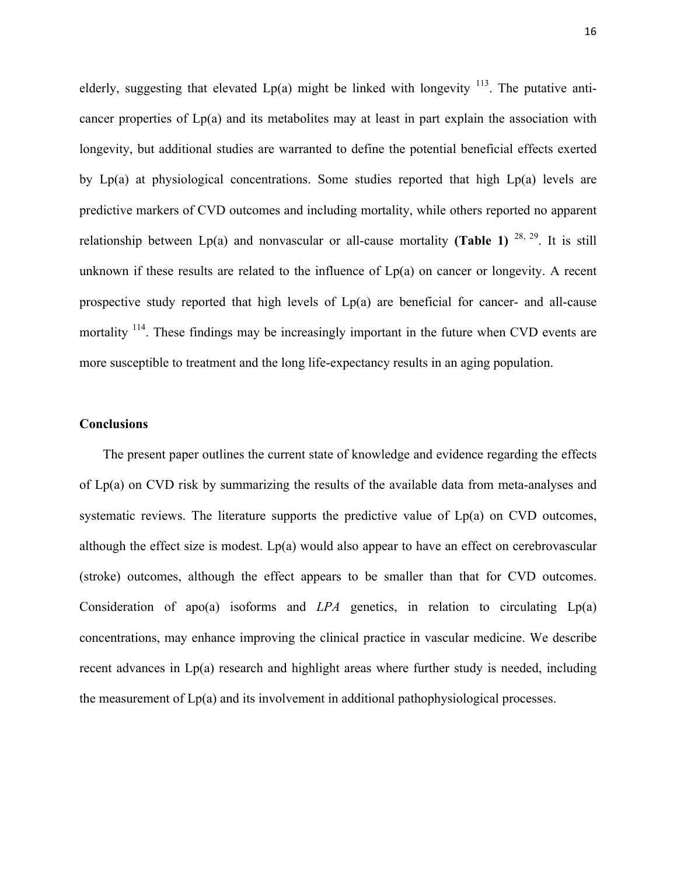elderly, suggesting that elevated  $Lp(a)$  might be linked with longevity  $^{113}$ . The putative anticancer properties of  $Lp(a)$  and its metabolites may at least in part explain the association with longevity, but additional studies are warranted to define the potential beneficial effects exerted by Lp(a) at physiological concentrations. Some studies reported that high Lp(a) levels are predictive markers of CVD outcomes and including mortality, while others reported no apparent relationship between  $Lp(a)$  and nonvascular or all-cause mortality **(Table 1)** <sup>28, 29</sup>. It is still unknown if these results are related to the influence of  $Lp(a)$  on cancer or longevity. A recent prospective study reported that high levels of Lp(a) are beneficial for cancer- and all-cause mortality  $114$ . These findings may be increasingly important in the future when CVD events are more susceptible to treatment and the long life-expectancy results in an aging population.

#### **Conclusions**

The present paper outlines the current state of knowledge and evidence regarding the effects of Lp(a) on CVD risk by summarizing the results of the available data from meta-analyses and systematic reviews. The literature supports the predictive value of  $Lp(a)$  on CVD outcomes, although the effect size is modest. Lp(a) would also appear to have an effect on cerebrovascular (stroke) outcomes, although the effect appears to be smaller than that for CVD outcomes. Consideration of apo(a) isoforms and *LPA* genetics, in relation to circulating Lp(a) concentrations, may enhance improving the clinical practice in vascular medicine. We describe recent advances in Lp(a) research and highlight areas where further study is needed, including the measurement of Lp(a) and its involvement in additional pathophysiological processes.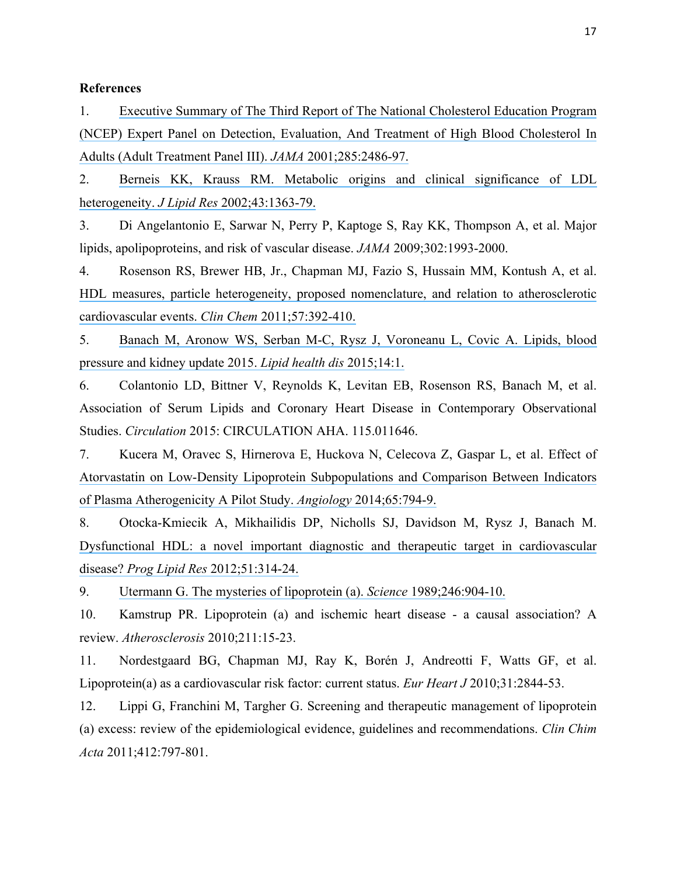#### **References**

1. [Executive Summary of The Third Report of The National Cholesterol Education Program](https://www.researchgate.net/publication/224883712_Executive_Summary_of_The_Third_Report_of_The_National_Cholesterol_Education_Program_NCEP_Expert_Panel_on_Detection_Evaluation_And_Treatment_of_High_Blood_Cholesterol_In_Adults_Adult_Treatment_Panel_II?el=1_x_8&enrichId=rgreq-143536a4-9b63-4353-9f39-64a9e58bfd7a&enrichSource=Y292ZXJQYWdlOzMwMTk3MzE2ODtBUzozNTg4NTgyMTcyNzk0ODhAMTQ2MjU2OTg3NDA5Mw==)  [\(NCEP\) Expert Panel on Detection, Evaluation, And Treatment of High Blood Cholesterol In](https://www.researchgate.net/publication/224883712_Executive_Summary_of_The_Third_Report_of_The_National_Cholesterol_Education_Program_NCEP_Expert_Panel_on_Detection_Evaluation_And_Treatment_of_High_Blood_Cholesterol_In_Adults_Adult_Treatment_Panel_II?el=1_x_8&enrichId=rgreq-143536a4-9b63-4353-9f39-64a9e58bfd7a&enrichSource=Y292ZXJQYWdlOzMwMTk3MzE2ODtBUzozNTg4NTgyMTcyNzk0ODhAMTQ2MjU2OTg3NDA5Mw==)  [Adults \(Adult Treatment Panel III\).](https://www.researchgate.net/publication/224883712_Executive_Summary_of_The_Third_Report_of_The_National_Cholesterol_Education_Program_NCEP_Expert_Panel_on_Detection_Evaluation_And_Treatment_of_High_Blood_Cholesterol_In_Adults_Adult_Treatment_Panel_II?el=1_x_8&enrichId=rgreq-143536a4-9b63-4353-9f39-64a9e58bfd7a&enrichSource=Y292ZXJQYWdlOzMwMTk3MzE2ODtBUzozNTg4NTgyMTcyNzk0ODhAMTQ2MjU2OTg3NDA5Mw==) *JAMA* 2001;285:2486-97.

2. [Berneis KK, Krauss RM. Metabolic origins and clinical significance of LDL](https://www.researchgate.net/publication/11155851_Metabolic_origins_and_clinical_significance_of_LDLC_heterogeneity?el=1_x_8&enrichId=rgreq-143536a4-9b63-4353-9f39-64a9e58bfd7a&enrichSource=Y292ZXJQYWdlOzMwMTk3MzE2ODtBUzozNTg4NTgyMTcyNzk0ODhAMTQ2MjU2OTg3NDA5Mw==)  heterogeneity. *J Lipid Res* [2002;43:1363-79.](https://www.researchgate.net/publication/11155851_Metabolic_origins_and_clinical_significance_of_LDLC_heterogeneity?el=1_x_8&enrichId=rgreq-143536a4-9b63-4353-9f39-64a9e58bfd7a&enrichSource=Y292ZXJQYWdlOzMwMTk3MzE2ODtBUzozNTg4NTgyMTcyNzk0ODhAMTQ2MjU2OTg3NDA5Mw==)

3. Di Angelantonio E, Sarwar N, Perry P, Kaptoge S, Ray KK, Thompson A, et al. Major lipids, apolipoproteins, and risk of vascular disease. *JAMA* 2009;302:1993-2000.

4. Rosenson RS, Brewer HB, Jr., Chapman MJ, Fazio S, Hussain MM, Kontush A, et al. [HDL measures, particle heterogeneity, proposed nomenclature, and relation to atherosclerotic](https://www.researchgate.net/publication/49785015_HDL_Measures_Particle_Heterogeneity_Proposed_Nomenclature_and_Relation_to_Atherosclerotic_Cardiovascular_Events?el=1_x_8&enrichId=rgreq-143536a4-9b63-4353-9f39-64a9e58bfd7a&enrichSource=Y292ZXJQYWdlOzMwMTk3MzE2ODtBUzozNTg4NTgyMTcyNzk0ODhAMTQ2MjU2OTg3NDA5Mw==)  [cardiovascular events.](https://www.researchgate.net/publication/49785015_HDL_Measures_Particle_Heterogeneity_Proposed_Nomenclature_and_Relation_to_Atherosclerotic_Cardiovascular_Events?el=1_x_8&enrichId=rgreq-143536a4-9b63-4353-9f39-64a9e58bfd7a&enrichSource=Y292ZXJQYWdlOzMwMTk3MzE2ODtBUzozNTg4NTgyMTcyNzk0ODhAMTQ2MjU2OTg3NDA5Mw==) *Clin Chem* 2011;57:392-410.

5. [Banach M, Aronow WS, Serban M-C, Rysz J, Voroneanu L, Covic A. Lipids, blood](https://www.researchgate.net/publication/288839070_Lipids_blood_pressure_and_kidney_update_2015?el=1_x_8&enrichId=rgreq-143536a4-9b63-4353-9f39-64a9e58bfd7a&enrichSource=Y292ZXJQYWdlOzMwMTk3MzE2ODtBUzozNTg4NTgyMTcyNzk0ODhAMTQ2MjU2OTg3NDA5Mw==)  [pressure and kidney update 2015.](https://www.researchgate.net/publication/288839070_Lipids_blood_pressure_and_kidney_update_2015?el=1_x_8&enrichId=rgreq-143536a4-9b63-4353-9f39-64a9e58bfd7a&enrichSource=Y292ZXJQYWdlOzMwMTk3MzE2ODtBUzozNTg4NTgyMTcyNzk0ODhAMTQ2MjU2OTg3NDA5Mw==) *Lipid health dis* 2015;14:1.

6. Colantonio LD, Bittner V, Reynolds K, Levitan EB, Rosenson RS, Banach M, et al. Association of Serum Lipids and Coronary Heart Disease in Contemporary Observational Studies. *Circulation* 2015: CIRCULATION AHA. 115.011646.

7. Kucera M, Oravec S, Hirnerova E, Huckova N, Celecova Z, Gaspar L, et al. Effect of [Atorvastatin on Low-Density Lipoprotein Subpopulations and Comparison Between Indicators](https://www.researchgate.net/publication/258103788_Effect_of_Atorvastatin_on_Low-Density_Lipoprotein_Subpopulations_and_Comparison_Between_Indicators_of_Plasma_Atherogenicity_A_Pilot_Study?el=1_x_8&enrichId=rgreq-143536a4-9b63-4353-9f39-64a9e58bfd7a&enrichSource=Y292ZXJQYWdlOzMwMTk3MzE2ODtBUzozNTg4NTgyMTcyNzk0ODhAMTQ2MjU2OTg3NDA5Mw==)  [of Plasma Atherogenicity A Pilot Study.](https://www.researchgate.net/publication/258103788_Effect_of_Atorvastatin_on_Low-Density_Lipoprotein_Subpopulations_and_Comparison_Between_Indicators_of_Plasma_Atherogenicity_A_Pilot_Study?el=1_x_8&enrichId=rgreq-143536a4-9b63-4353-9f39-64a9e58bfd7a&enrichSource=Y292ZXJQYWdlOzMwMTk3MzE2ODtBUzozNTg4NTgyMTcyNzk0ODhAMTQ2MjU2OTg3NDA5Mw==) *Angiology* 2014;65:794-9.

8. Otocka-Kmiecik A, Mikhailidis DP, Nicholls SJ, Davidson M, Rysz J, Banach M. [Dysfunctional HDL: a novel important diagnostic and therapeutic target in cardiovascular](https://www.researchgate.net/publication/225048683_Dysfunctional_HDL_A_novel_important_diagnostic_and_therapeutic_target_in_cardiovascular_disease?el=1_x_8&enrichId=rgreq-143536a4-9b63-4353-9f39-64a9e58bfd7a&enrichSource=Y292ZXJQYWdlOzMwMTk3MzE2ODtBUzozNTg4NTgyMTcyNzk0ODhAMTQ2MjU2OTg3NDA5Mw==)  disease? *Prog Lipid Res* [2012;51:314-24.](https://www.researchgate.net/publication/225048683_Dysfunctional_HDL_A_novel_important_diagnostic_and_therapeutic_target_in_cardiovascular_disease?el=1_x_8&enrichId=rgreq-143536a4-9b63-4353-9f39-64a9e58bfd7a&enrichSource=Y292ZXJQYWdlOzMwMTk3MzE2ODtBUzozNTg4NTgyMTcyNzk0ODhAMTQ2MjU2OTg3NDA5Mw==)

9. [Utermann G. The mysteries of lipoprotein \(a\).](https://www.researchgate.net/publication/20624782_The_Mysteries_of_Lipoprotein_a?el=1_x_8&enrichId=rgreq-143536a4-9b63-4353-9f39-64a9e58bfd7a&enrichSource=Y292ZXJQYWdlOzMwMTk3MzE2ODtBUzozNTg4NTgyMTcyNzk0ODhAMTQ2MjU2OTg3NDA5Mw==) *Science* 1989;246:904-10.

10. Kamstrup PR. Lipoprotein (a) and ischemic heart disease - a causal association? A review. *Atherosclerosis* 2010;211:15-23.

11. Nordestgaard BG, Chapman MJ, Ray K, Borén J, Andreotti F, Watts GF, et al. Lipoprotein(a) as a cardiovascular risk factor: current status. *Eur Heart J* 2010;31:2844-53.

12. Lippi G, Franchini M, Targher G. Screening and therapeutic management of lipoprotein (a) excess: review of the epidemiological evidence, guidelines and recommendations. *Clin Chim Acta* 2011;412:797-801.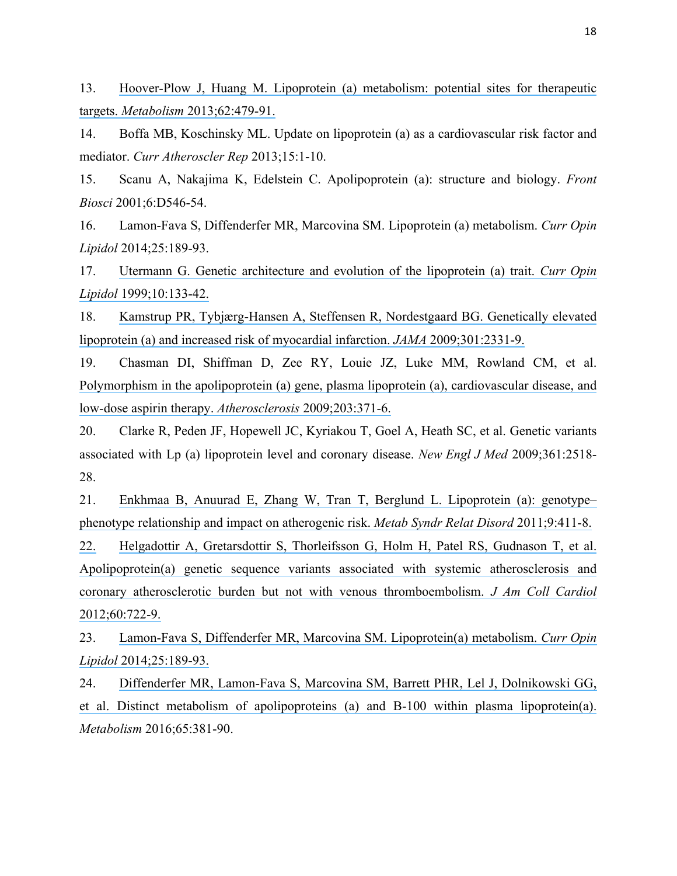13. [Hoover-Plow J, Huang M. Lipoprotein \(a\) metabolism: potential sites for therapeutic](https://www.researchgate.net/publication/232064963_Lipoproteina_metabolism_Potential_sites_for_therapeutic_targets?el=1_x_8&enrichId=rgreq-143536a4-9b63-4353-9f39-64a9e58bfd7a&enrichSource=Y292ZXJQYWdlOzMwMTk3MzE2ODtBUzozNTg4NTgyMTcyNzk0ODhAMTQ2MjU2OTg3NDA5Mw==)  targets. *Metabolism* [2013;62:479-91.](https://www.researchgate.net/publication/232064963_Lipoproteina_metabolism_Potential_sites_for_therapeutic_targets?el=1_x_8&enrichId=rgreq-143536a4-9b63-4353-9f39-64a9e58bfd7a&enrichSource=Y292ZXJQYWdlOzMwMTk3MzE2ODtBUzozNTg4NTgyMTcyNzk0ODhAMTQ2MjU2OTg3NDA5Mw==)

14. Boffa MB, Koschinsky ML. Update on lipoprotein (a) as a cardiovascular risk factor and mediator. *Curr Atheroscler Rep* 2013;15:1-10.

15. Scanu A, Nakajima K, Edelstein C. Apolipoprotein (a): structure and biology. *Front Biosci* 2001;6:D546-54.

16. Lamon-Fava S, Diffenderfer MR, Marcovina SM. Lipoprotein (a) metabolism. *Curr Opin Lipidol* 2014;25:189-93.

17. [Utermann G. Genetic architecture and evolution of the lipoprotein \(a\) trait.](https://www.researchgate.net/publication/12971976_Genetic_architecture_and_evolution_of_the_lipoproteina_trait?el=1_x_8&enrichId=rgreq-143536a4-9b63-4353-9f39-64a9e58bfd7a&enrichSource=Y292ZXJQYWdlOzMwMTk3MzE2ODtBUzozNTg4NTgyMTcyNzk0ODhAMTQ2MjU2OTg3NDA5Mw==) *Curr Opin Lipidol* [1999;10:133-42.](https://www.researchgate.net/publication/12971976_Genetic_architecture_and_evolution_of_the_lipoproteina_trait?el=1_x_8&enrichId=rgreq-143536a4-9b63-4353-9f39-64a9e58bfd7a&enrichSource=Y292ZXJQYWdlOzMwMTk3MzE2ODtBUzozNTg4NTgyMTcyNzk0ODhAMTQ2MjU2OTg3NDA5Mw==)

18. [Kamstrup PR, Tybjærg-Hansen A, Steffensen R, Nordestgaard BG. Genetically elevated](https://www.researchgate.net/publication/26278951_Genetically_Elevated_Lipoprotein_a_and_Increased_Risk_of_Myocardial_Infarction?el=1_x_8&enrichId=rgreq-143536a4-9b63-4353-9f39-64a9e58bfd7a&enrichSource=Y292ZXJQYWdlOzMwMTk3MzE2ODtBUzozNTg4NTgyMTcyNzk0ODhAMTQ2MjU2OTg3NDA5Mw==)  [lipoprotein \(a\) and increased risk of myocardial infarction.](https://www.researchgate.net/publication/26278951_Genetically_Elevated_Lipoprotein_a_and_Increased_Risk_of_Myocardial_Infarction?el=1_x_8&enrichId=rgreq-143536a4-9b63-4353-9f39-64a9e58bfd7a&enrichSource=Y292ZXJQYWdlOzMwMTk3MzE2ODtBUzozNTg4NTgyMTcyNzk0ODhAMTQ2MjU2OTg3NDA5Mw==) *JAMA* 2009;301:2331-9.

19. Chasman DI, Shiffman D, Zee RY, Louie JZ, Luke MM, Rowland CM, et al. [Polymorphism in the apolipoprotein \(a\) gene, plasma lipoprotein \(a\), cardiovascular disease, and](https://www.researchgate.net/publication/23241519_Polymorphism_in_the_apolipoproteina_gene_plasma_lipoproteina_cardiovascular_disease_and_low-dose_aspirin_therapy?el=1_x_8&enrichId=rgreq-143536a4-9b63-4353-9f39-64a9e58bfd7a&enrichSource=Y292ZXJQYWdlOzMwMTk3MzE2ODtBUzozNTg4NTgyMTcyNzk0ODhAMTQ2MjU2OTg3NDA5Mw==)  [low-dose aspirin therapy.](https://www.researchgate.net/publication/23241519_Polymorphism_in_the_apolipoproteina_gene_plasma_lipoproteina_cardiovascular_disease_and_low-dose_aspirin_therapy?el=1_x_8&enrichId=rgreq-143536a4-9b63-4353-9f39-64a9e58bfd7a&enrichSource=Y292ZXJQYWdlOzMwMTk3MzE2ODtBUzozNTg4NTgyMTcyNzk0ODhAMTQ2MjU2OTg3NDA5Mw==) *Atherosclerosis* 2009;203:371-6.

20. Clarke R, Peden JF, Hopewell JC, Kyriakou T, Goel A, Heath SC, et al. Genetic variants associated with Lp (a) lipoprotein level and coronary disease. *New Engl J Med* 2009;361:2518- 28.

21. [Enkhmaa B, Anuurad E, Zhang W, Tran T, Berglund L. Lipoprotein \(a\): genotype–](https://www.researchgate.net/publication/51485718_Lipoproteina_Genotype-Phenotype_Relationship_and_Impact_on_Atherogenic_Risk?el=1_x_8&enrichId=rgreq-143536a4-9b63-4353-9f39-64a9e58bfd7a&enrichSource=Y292ZXJQYWdlOzMwMTk3MzE2ODtBUzozNTg4NTgyMTcyNzk0ODhAMTQ2MjU2OTg3NDA5Mw==) [phenotype relationship and impact on atherogenic risk.](https://www.researchgate.net/publication/51485718_Lipoproteina_Genotype-Phenotype_Relationship_and_Impact_on_Atherogenic_Risk?el=1_x_8&enrichId=rgreq-143536a4-9b63-4353-9f39-64a9e58bfd7a&enrichSource=Y292ZXJQYWdlOzMwMTk3MzE2ODtBUzozNTg4NTgyMTcyNzk0ODhAMTQ2MjU2OTg3NDA5Mw==) *Metab Syndr Relat Disord* 2011;9:411-8.

[22.](https://www.researchgate.net/publication/51485718_Lipoproteina_Genotype-Phenotype_Relationship_and_Impact_on_Atherogenic_Risk?el=1_x_8&enrichId=rgreq-143536a4-9b63-4353-9f39-64a9e58bfd7a&enrichSource=Y292ZXJQYWdlOzMwMTk3MzE2ODtBUzozNTg4NTgyMTcyNzk0ODhAMTQ2MjU2OTg3NDA5Mw==) [Helgadottir A, Gretarsdottir S, Thorleifsson G, Holm H, Patel RS, Gudnason T, et al.](https://www.researchgate.net/publication/51485718_Lipoproteina_Genotype-Phenotype_Relationship_and_Impact_on_Atherogenic_Risk?el=1_x_8&enrichId=rgreq-143536a4-9b63-4353-9f39-64a9e58bfd7a&enrichSource=Y292ZXJQYWdlOzMwMTk3MzE2ODtBUzozNTg4NTgyMTcyNzk0ODhAMTQ2MjU2OTg3NDA5Mw==)  [Apolipoprotein\(a\) genetic sequence variants associated with systemic atherosclerosis and](https://www.researchgate.net/publication/230684659_Apolipoproteina_Genetic_Sequence_Variants_Associated_With_Systemic_Atherosclerosis_and_Coronary_Atherosclerotic_Burden_But_Not_With_Venous_Thromboembolism?el=1_x_8&enrichId=rgreq-143536a4-9b63-4353-9f39-64a9e58bfd7a&enrichSource=Y292ZXJQYWdlOzMwMTk3MzE2ODtBUzozNTg4NTgyMTcyNzk0ODhAMTQ2MjU2OTg3NDA5Mw==)  [coronary atherosclerotic burden but not with venous thromboembolism.](https://www.researchgate.net/publication/230684659_Apolipoproteina_Genetic_Sequence_Variants_Associated_With_Systemic_Atherosclerosis_and_Coronary_Atherosclerotic_Burden_But_Not_With_Venous_Thromboembolism?el=1_x_8&enrichId=rgreq-143536a4-9b63-4353-9f39-64a9e58bfd7a&enrichSource=Y292ZXJQYWdlOzMwMTk3MzE2ODtBUzozNTg4NTgyMTcyNzk0ODhAMTQ2MjU2OTg3NDA5Mw==) *J Am Coll Cardiol* [2012;60:722-9.](https://www.researchgate.net/publication/230684659_Apolipoproteina_Genetic_Sequence_Variants_Associated_With_Systemic_Atherosclerosis_and_Coronary_Atherosclerotic_Burden_But_Not_With_Venous_Thromboembolism?el=1_x_8&enrichId=rgreq-143536a4-9b63-4353-9f39-64a9e58bfd7a&enrichSource=Y292ZXJQYWdlOzMwMTk3MzE2ODtBUzozNTg4NTgyMTcyNzk0ODhAMTQ2MjU2OTg3NDA5Mw==)

23. [Lamon-Fava S, Diffenderfer MR, Marcovina SM. Lipoprotein\(a\) metabolism.](https://www.researchgate.net/publication/261770463_Lipoproteina_metabolism?el=1_x_8&enrichId=rgreq-143536a4-9b63-4353-9f39-64a9e58bfd7a&enrichSource=Y292ZXJQYWdlOzMwMTk3MzE2ODtBUzozNTg4NTgyMTcyNzk0ODhAMTQ2MjU2OTg3NDA5Mw==) *Curr Opin Lipidol* [2014;25:189-93.](https://www.researchgate.net/publication/261770463_Lipoproteina_metabolism?el=1_x_8&enrichId=rgreq-143536a4-9b63-4353-9f39-64a9e58bfd7a&enrichSource=Y292ZXJQYWdlOzMwMTk3MzE2ODtBUzozNTg4NTgyMTcyNzk0ODhAMTQ2MjU2OTg3NDA5Mw==)

24. [Diffenderfer MR, Lamon-Fava S, Marcovina SM, Barrett PHR, Lel J, Dolnikowski GG,](https://www.researchgate.net/publication/284094717_Distinct_Metabolism_of_Apolipoproteins_a_and_B-100_within_Plasma_Lipoproteina?el=1_x_8&enrichId=rgreq-143536a4-9b63-4353-9f39-64a9e58bfd7a&enrichSource=Y292ZXJQYWdlOzMwMTk3MzE2ODtBUzozNTg4NTgyMTcyNzk0ODhAMTQ2MjU2OTg3NDA5Mw==)  [et al. Distinct metabolism of apolipoproteins \(a\) and B-100 within plasma lipoprotein\(a\).](https://www.researchgate.net/publication/284094717_Distinct_Metabolism_of_Apolipoproteins_a_and_B-100_within_Plasma_Lipoproteina?el=1_x_8&enrichId=rgreq-143536a4-9b63-4353-9f39-64a9e58bfd7a&enrichSource=Y292ZXJQYWdlOzMwMTk3MzE2ODtBUzozNTg4NTgyMTcyNzk0ODhAMTQ2MjU2OTg3NDA5Mw==)  *Metabolism* 2016;65:381-90.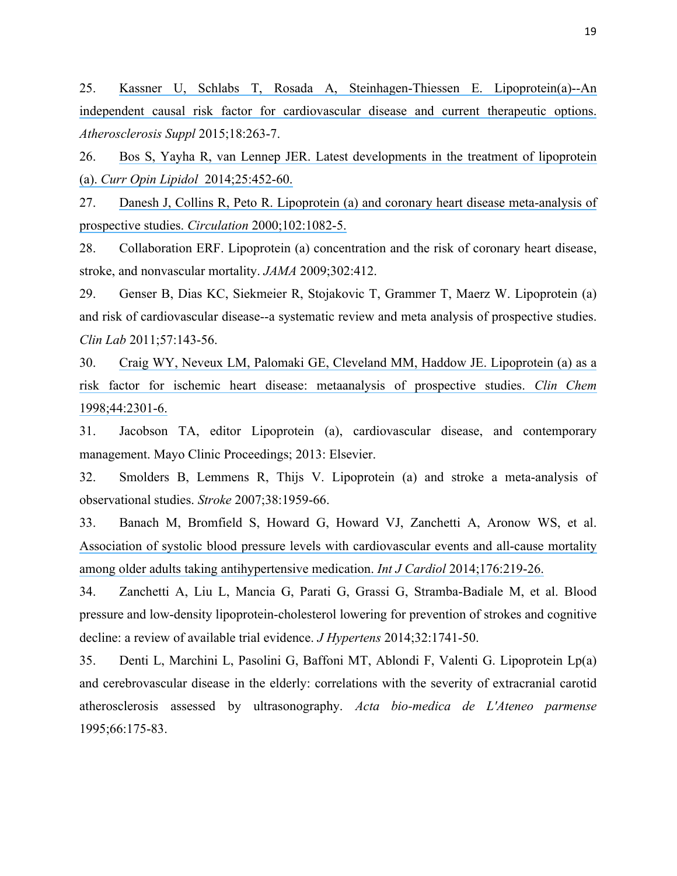25. [Kassner U, Schlabs T, Rosada A, Steinhagen-Thiessen E. Lipoprotein\(a\)--An](https://www.researchgate.net/publication/275718479_Lipoproteina_-_An_independent_causal_risk_factor_for_cardiovascular_disease_and_current_therapeutic_options?el=1_x_8&enrichId=rgreq-143536a4-9b63-4353-9f39-64a9e58bfd7a&enrichSource=Y292ZXJQYWdlOzMwMTk3MzE2ODtBUzozNTg4NTgyMTcyNzk0ODhAMTQ2MjU2OTg3NDA5Mw==)  [independent causal risk factor for cardiovascular disease and current therapeutic options.](https://www.researchgate.net/publication/275718479_Lipoproteina_-_An_independent_causal_risk_factor_for_cardiovascular_disease_and_current_therapeutic_options?el=1_x_8&enrichId=rgreq-143536a4-9b63-4353-9f39-64a9e58bfd7a&enrichSource=Y292ZXJQYWdlOzMwMTk3MzE2ODtBUzozNTg4NTgyMTcyNzk0ODhAMTQ2MjU2OTg3NDA5Mw==)  *Atherosclerosis Suppl* 2015;18:263-7.

26. [Bos S, Yayha R, van Lennep JER. Latest developments in the treatment of lipoprotein](https://www.researchgate.net/publication/266973585_Latest_developments_in_the_treatment_of_lipoprotein_a?el=1_x_8&enrichId=rgreq-143536a4-9b63-4353-9f39-64a9e58bfd7a&enrichSource=Y292ZXJQYWdlOzMwMTk3MzE2ODtBUzozNTg4NTgyMTcyNzk0ODhAMTQ2MjU2OTg3NDA5Mw==)  (a). *[Curr Opin Lipidol](https://www.researchgate.net/publication/266973585_Latest_developments_in_the_treatment_of_lipoprotein_a?el=1_x_8&enrichId=rgreq-143536a4-9b63-4353-9f39-64a9e58bfd7a&enrichSource=Y292ZXJQYWdlOzMwMTk3MzE2ODtBUzozNTg4NTgyMTcyNzk0ODhAMTQ2MjU2OTg3NDA5Mw==)* 2014;25:452-60.

27. [Danesh J, Collins R, Peto R. Lipoprotein \(a\) and coronary heart disease meta-analysis of](https://www.researchgate.net/publication/12348028_Lipoproteina_and_Coronary_Heart_Disease_Meta-Analysis_of_Prospective_Studies?el=1_x_8&enrichId=rgreq-143536a4-9b63-4353-9f39-64a9e58bfd7a&enrichSource=Y292ZXJQYWdlOzMwMTk3MzE2ODtBUzozNTg4NTgyMTcyNzk0ODhAMTQ2MjU2OTg3NDA5Mw==)  [prospective studies.](https://www.researchgate.net/publication/12348028_Lipoproteina_and_Coronary_Heart_Disease_Meta-Analysis_of_Prospective_Studies?el=1_x_8&enrichId=rgreq-143536a4-9b63-4353-9f39-64a9e58bfd7a&enrichSource=Y292ZXJQYWdlOzMwMTk3MzE2ODtBUzozNTg4NTgyMTcyNzk0ODhAMTQ2MjU2OTg3NDA5Mw==) *Circulation* 2000;102:1082-5.

28. Collaboration ERF. Lipoprotein (a) concentration and the risk of coronary heart disease, stroke, and nonvascular mortality. *JAMA* 2009;302:412.

29. Genser B, Dias KC, Siekmeier R, Stojakovic T, Grammer T, Maerz W. Lipoprotein (a) and risk of cardiovascular disease--a systematic review and meta analysis of prospective studies. *Clin Lab* 2011;57:143-56.

30. [Craig WY, Neveux LM, Palomaki GE, Cleveland MM, Haddow JE. Lipoprotein \(a\) as a](https://www.researchgate.net/publication/13486252_Lipoproteina_as_a_risk_factor_for_ischemic_heart_disease_Metaanalysis_of_prospective_studies?el=1_x_8&enrichId=rgreq-143536a4-9b63-4353-9f39-64a9e58bfd7a&enrichSource=Y292ZXJQYWdlOzMwMTk3MzE2ODtBUzozNTg4NTgyMTcyNzk0ODhAMTQ2MjU2OTg3NDA5Mw==)  [risk factor for ischemic heart disease: metaanalysis of prospective studies.](https://www.researchgate.net/publication/13486252_Lipoproteina_as_a_risk_factor_for_ischemic_heart_disease_Metaanalysis_of_prospective_studies?el=1_x_8&enrichId=rgreq-143536a4-9b63-4353-9f39-64a9e58bfd7a&enrichSource=Y292ZXJQYWdlOzMwMTk3MzE2ODtBUzozNTg4NTgyMTcyNzk0ODhAMTQ2MjU2OTg3NDA5Mw==) *Clin Chem* [1998;44:2301-6.](https://www.researchgate.net/publication/13486252_Lipoproteina_as_a_risk_factor_for_ischemic_heart_disease_Metaanalysis_of_prospective_studies?el=1_x_8&enrichId=rgreq-143536a4-9b63-4353-9f39-64a9e58bfd7a&enrichSource=Y292ZXJQYWdlOzMwMTk3MzE2ODtBUzozNTg4NTgyMTcyNzk0ODhAMTQ2MjU2OTg3NDA5Mw==)

31. Jacobson TA, editor Lipoprotein (a), cardiovascular disease, and contemporary management. Mayo Clinic Proceedings; 2013: Elsevier.

32. Smolders B, Lemmens R, Thijs V. Lipoprotein (a) and stroke a meta-analysis of observational studies. *Stroke* 2007;38:1959-66.

33. Banach M, Bromfield S, Howard G, Howard VJ, Zanchetti A, Aronow WS, et al. [Association of systolic blood pressure levels with cardiovascular events and all-cause mortality](https://www.researchgate.net/publication/277711770_Association_of_systolic_blood_pressure_levels_with_cardiovascular_events_and_all-cause_mortality_among_older_adults_without_antihypertensive_medication?el=1_x_8&enrichId=rgreq-143536a4-9b63-4353-9f39-64a9e58bfd7a&enrichSource=Y292ZXJQYWdlOzMwMTk3MzE2ODtBUzozNTg4NTgyMTcyNzk0ODhAMTQ2MjU2OTg3NDA5Mw==)  [among older adults taking antihypertensive medication.](https://www.researchgate.net/publication/277711770_Association_of_systolic_blood_pressure_levels_with_cardiovascular_events_and_all-cause_mortality_among_older_adults_without_antihypertensive_medication?el=1_x_8&enrichId=rgreq-143536a4-9b63-4353-9f39-64a9e58bfd7a&enrichSource=Y292ZXJQYWdlOzMwMTk3MzE2ODtBUzozNTg4NTgyMTcyNzk0ODhAMTQ2MjU2OTg3NDA5Mw==) *Int J Cardiol* 2014;176:219-26.

34. Zanchetti A, Liu L, Mancia G, Parati G, Grassi G, Stramba-Badiale M, et al. Blood pressure and low-density lipoprotein-cholesterol lowering for prevention of strokes and cognitive decline: a review of available trial evidence. *J Hypertens* 2014;32:1741-50.

35. Denti L, Marchini L, Pasolini G, Baffoni MT, Ablondi F, Valenti G. Lipoprotein Lp(a) and cerebrovascular disease in the elderly: correlations with the severity of extracranial carotid atherosclerosis assessed by ultrasonography. *Acta bio-medica de L'Ateneo parmense* 1995;66:175-83.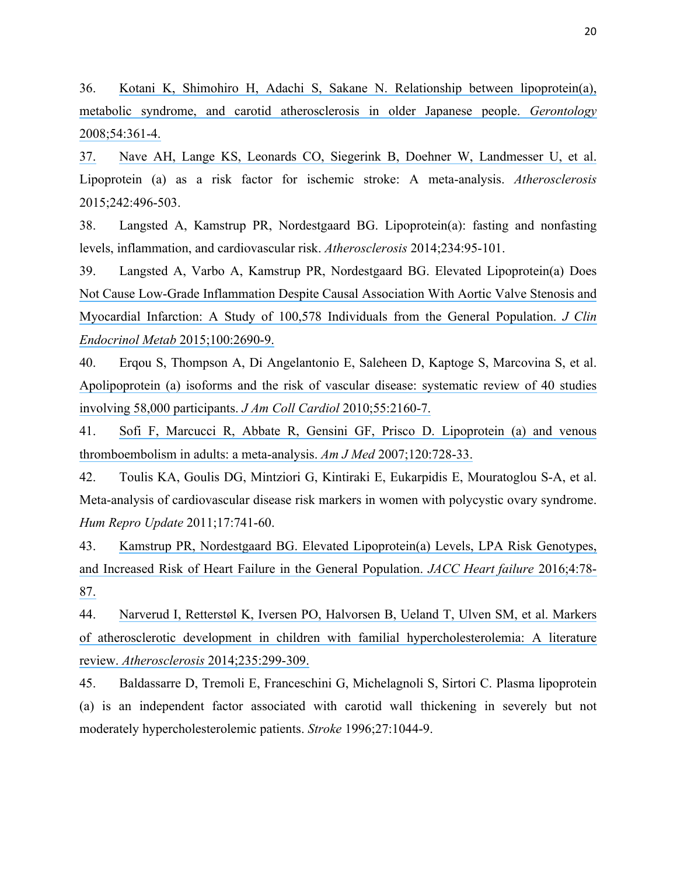36. [Kotani K, Shimohiro H, Adachi S, Sakane N. Relationship between lipoprotein\(a\),](https://www.researchgate.net/publication/5228579_Relationship_between_Lipoproteina_Metabolic_Syndrome_and_Carotid_Atherosclerosis_in_Older_Japanese_People?el=1_x_8&enrichId=rgreq-143536a4-9b63-4353-9f39-64a9e58bfd7a&enrichSource=Y292ZXJQYWdlOzMwMTk3MzE2ODtBUzozNTg4NTgyMTcyNzk0ODhAMTQ2MjU2OTg3NDA5Mw==)  [metabolic syndrome, and carotid atherosclerosis in older Japanese people.](https://www.researchgate.net/publication/5228579_Relationship_between_Lipoproteina_Metabolic_Syndrome_and_Carotid_Atherosclerosis_in_Older_Japanese_People?el=1_x_8&enrichId=rgreq-143536a4-9b63-4353-9f39-64a9e58bfd7a&enrichSource=Y292ZXJQYWdlOzMwMTk3MzE2ODtBUzozNTg4NTgyMTcyNzk0ODhAMTQ2MjU2OTg3NDA5Mw==) *Gerontology* [2008;54:361-4.](https://www.researchgate.net/publication/5228579_Relationship_between_Lipoproteina_Metabolic_Syndrome_and_Carotid_Atherosclerosis_in_Older_Japanese_People?el=1_x_8&enrichId=rgreq-143536a4-9b63-4353-9f39-64a9e58bfd7a&enrichSource=Y292ZXJQYWdlOzMwMTk3MzE2ODtBUzozNTg4NTgyMTcyNzk0ODhAMTQ2MjU2OTg3NDA5Mw==)

[37.](https://www.researchgate.net/publication/5228579_Relationship_between_Lipoproteina_Metabolic_Syndrome_and_Carotid_Atherosclerosis_in_Older_Japanese_People?el=1_x_8&enrichId=rgreq-143536a4-9b63-4353-9f39-64a9e58bfd7a&enrichSource=Y292ZXJQYWdlOzMwMTk3MzE2ODtBUzozNTg4NTgyMTcyNzk0ODhAMTQ2MjU2OTg3NDA5Mw==) [Nave AH, Lange KS, Leonards CO, Siegerink](https://www.researchgate.net/publication/5228579_Relationship_between_Lipoproteina_Metabolic_Syndrome_and_Carotid_Atherosclerosis_in_Older_Japanese_People?el=1_x_8&enrichId=rgreq-143536a4-9b63-4353-9f39-64a9e58bfd7a&enrichSource=Y292ZXJQYWdlOzMwMTk3MzE2ODtBUzozNTg4NTgyMTcyNzk0ODhAMTQ2MjU2OTg3NDA5Mw==) B, Doehner W, Landmesser U, et al. Lipoprotein (a) as a risk factor for ischemic stroke: A meta-analysis. *Atherosclerosis* 2015;242:496-503.

38. Langsted A, Kamstrup PR, Nordestgaard BG. Lipoprotein(a): fasting and nonfasting levels, inflammation, and cardiovascular risk. *Atherosclerosis* 2014;234:95-101.

39. Langsted A, Varbo A, Kamstrup PR, Nordestgaard BG. Elevated Lipoprotein(a) Does [Not Cause Low-Grade Inflammation Despite Causal Association With Aortic Valve Stenosis and](https://www.researchgate.net/publication/275835043_Elevated_Lipoproteina_Does_Not_Cause_Low-Grade_Inflammation_Despite_Causal_Association_With_Aortic_Valve_Stenosis_and_Myocardial_Infarction_A_Study_of_100578_Individuals_from_the_General_Population?el=1_x_8&enrichId=rgreq-143536a4-9b63-4353-9f39-64a9e58bfd7a&enrichSource=Y292ZXJQYWdlOzMwMTk3MzE2ODtBUzozNTg4NTgyMTcyNzk0ODhAMTQ2MjU2OTg3NDA5Mw==)  [Myocardial Infarction: A Study of 100,578 Individuals from the General Population.](https://www.researchgate.net/publication/275835043_Elevated_Lipoproteina_Does_Not_Cause_Low-Grade_Inflammation_Despite_Causal_Association_With_Aortic_Valve_Stenosis_and_Myocardial_Infarction_A_Study_of_100578_Individuals_from_the_General_Population?el=1_x_8&enrichId=rgreq-143536a4-9b63-4353-9f39-64a9e58bfd7a&enrichSource=Y292ZXJQYWdlOzMwMTk3MzE2ODtBUzozNTg4NTgyMTcyNzk0ODhAMTQ2MjU2OTg3NDA5Mw==) *J Clin Endocrinol Metab* [2015;100:2690-9.](https://www.researchgate.net/publication/275835043_Elevated_Lipoproteina_Does_Not_Cause_Low-Grade_Inflammation_Despite_Causal_Association_With_Aortic_Valve_Stenosis_and_Myocardial_Infarction_A_Study_of_100578_Individuals_from_the_General_Population?el=1_x_8&enrichId=rgreq-143536a4-9b63-4353-9f39-64a9e58bfd7a&enrichSource=Y292ZXJQYWdlOzMwMTk3MzE2ODtBUzozNTg4NTgyMTcyNzk0ODhAMTQ2MjU2OTg3NDA5Mw==)

40. Erqou S, Thompson A, Di Angelantonio E, Saleheen D, Kaptoge S, Marcovina S, et al. [Apolipoprotein \(a\) isoforms and the risk of vascular disease: systematic review of 40 studies](https://www.researchgate.net/publication/44578008_Apolipoproteina_Isoforms_and_the_Risk_of_Vascular_Disease_Systematic_Review_of_40_Studies_Involving_58000_Participants?el=1_x_8&enrichId=rgreq-143536a4-9b63-4353-9f39-64a9e58bfd7a&enrichSource=Y292ZXJQYWdlOzMwMTk3MzE2ODtBUzozNTg4NTgyMTcyNzk0ODhAMTQ2MjU2OTg3NDA5Mw==)  [involving 58,000 participants.](https://www.researchgate.net/publication/44578008_Apolipoproteina_Isoforms_and_the_Risk_of_Vascular_Disease_Systematic_Review_of_40_Studies_Involving_58000_Participants?el=1_x_8&enrichId=rgreq-143536a4-9b63-4353-9f39-64a9e58bfd7a&enrichSource=Y292ZXJQYWdlOzMwMTk3MzE2ODtBUzozNTg4NTgyMTcyNzk0ODhAMTQ2MjU2OTg3NDA5Mw==) *J Am Coll Cardiol* 2010;55:2160-7.

41. [Sofi F, Marcucci R, Abbate R, Gensini GF, Prisco D. Lipoprotein \(a\) and venous](https://www.researchgate.net/publication/6160469_Lipoprotein_a_and_Venous_Thromboembolism_in_Adults_A_Meta-Analysis?el=1_x_8&enrichId=rgreq-143536a4-9b63-4353-9f39-64a9e58bfd7a&enrichSource=Y292ZXJQYWdlOzMwMTk3MzE2ODtBUzozNTg4NTgyMTcyNzk0ODhAMTQ2MjU2OTg3NDA5Mw==)  [thromboembolism in adults: a meta-analysis.](https://www.researchgate.net/publication/6160469_Lipoprotein_a_and_Venous_Thromboembolism_in_Adults_A_Meta-Analysis?el=1_x_8&enrichId=rgreq-143536a4-9b63-4353-9f39-64a9e58bfd7a&enrichSource=Y292ZXJQYWdlOzMwMTk3MzE2ODtBUzozNTg4NTgyMTcyNzk0ODhAMTQ2MjU2OTg3NDA5Mw==) *Am J Med* 2007;120:728-33.

42. Toulis KA, Goulis DG, Mintziori G, Kintiraki E, Eukarpidis E, Mouratoglou S-A, et al. Meta-analysis of cardiovascular disease risk markers in women with polycystic ovary syndrome. *Hum Repro Update* 2011;17:741-60.

43. [Kamstrup PR, Nordestgaard BG. Elevated Lipoprotein\(a\) Levels, LPA Risk Genotypes,](https://www.researchgate.net/publication/285607960_Elevated_Lipoproteina_Levels_LPA_Risk_Genotypes_and_Increased_Risk_of_Heart_Failure_in_the_General_Population?el=1_x_8&enrichId=rgreq-143536a4-9b63-4353-9f39-64a9e58bfd7a&enrichSource=Y292ZXJQYWdlOzMwMTk3MzE2ODtBUzozNTg4NTgyMTcyNzk0ODhAMTQ2MjU2OTg3NDA5Mw==)  [and Increased Risk of Heart Failure in the General Population.](https://www.researchgate.net/publication/285607960_Elevated_Lipoproteina_Levels_LPA_Risk_Genotypes_and_Increased_Risk_of_Heart_Failure_in_the_General_Population?el=1_x_8&enrichId=rgreq-143536a4-9b63-4353-9f39-64a9e58bfd7a&enrichSource=Y292ZXJQYWdlOzMwMTk3MzE2ODtBUzozNTg4NTgyMTcyNzk0ODhAMTQ2MjU2OTg3NDA5Mw==) *JACC Heart failure* 2016;4:78- [87.](https://www.researchgate.net/publication/285607960_Elevated_Lipoproteina_Levels_LPA_Risk_Genotypes_and_Increased_Risk_of_Heart_Failure_in_the_General_Population?el=1_x_8&enrichId=rgreq-143536a4-9b63-4353-9f39-64a9e58bfd7a&enrichSource=Y292ZXJQYWdlOzMwMTk3MzE2ODtBUzozNTg4NTgyMTcyNzk0ODhAMTQ2MjU2OTg3NDA5Mw==)

44. [Narverud I, Retterstøl K, Iversen PO, Halvorsen B, Ueland T, Ulven SM, et al. Markers](https://www.researchgate.net/publication/263049297_Markers_of_atherosclerotic_development_in_children_with_familial_hypercholesterolemia_A_literature_review?el=1_x_8&enrichId=rgreq-143536a4-9b63-4353-9f39-64a9e58bfd7a&enrichSource=Y292ZXJQYWdlOzMwMTk3MzE2ODtBUzozNTg4NTgyMTcyNzk0ODhAMTQ2MjU2OTg3NDA5Mw==)  [of atherosclerotic development in children with familial hypercholesterolemia: A literature](https://www.researchgate.net/publication/263049297_Markers_of_atherosclerotic_development_in_children_with_familial_hypercholesterolemia_A_literature_review?el=1_x_8&enrichId=rgreq-143536a4-9b63-4353-9f39-64a9e58bfd7a&enrichSource=Y292ZXJQYWdlOzMwMTk3MzE2ODtBUzozNTg4NTgyMTcyNzk0ODhAMTQ2MjU2OTg3NDA5Mw==)  review. *Atherosclerosis* [2014;235:299-309.](https://www.researchgate.net/publication/263049297_Markers_of_atherosclerotic_development_in_children_with_familial_hypercholesterolemia_A_literature_review?el=1_x_8&enrichId=rgreq-143536a4-9b63-4353-9f39-64a9e58bfd7a&enrichSource=Y292ZXJQYWdlOzMwMTk3MzE2ODtBUzozNTg4NTgyMTcyNzk0ODhAMTQ2MjU2OTg3NDA5Mw==)

45. Baldassarre D, Tremoli E, Franceschini G, Michelagnoli S, Sirtori C. Plasma lipoprotein (a) is an independent factor associated with carotid wall thickening in severely but not moderately hypercholesterolemic patients. *Stroke* 1996;27:1044-9.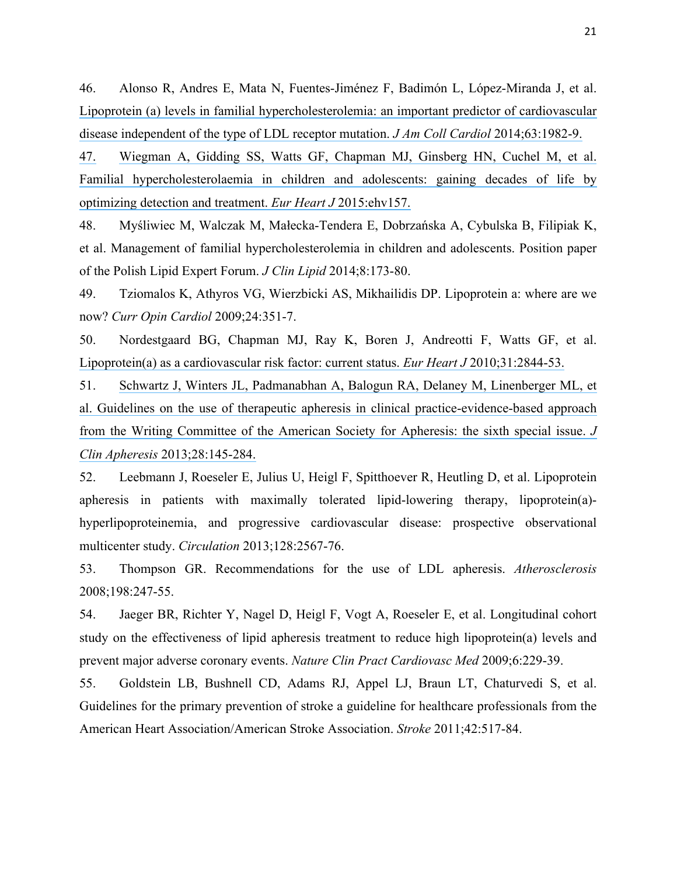46. Alonso R, Andres E, Mata N, Fuentes-Jiménez F, Badimón L, López-Miranda J, et al. [Lipoprotein \(a\) levels in familial hypercholesterolemia: an important predictor of cardiovascular](https://www.researchgate.net/publication/278214843_Lipoproteina_Levels_in_Familial_Hypercholesterolemia_An_Important_Predictor_of_Cardiovascular_Disease_Independent_of_the_Type_of_LDL_Receptor_Mutation?el=1_x_8&enrichId=rgreq-143536a4-9b63-4353-9f39-64a9e58bfd7a&enrichSource=Y292ZXJQYWdlOzMwMTk3MzE2ODtBUzozNTg4NTgyMTcyNzk0ODhAMTQ2MjU2OTg3NDA5Mw==)  [disease independent of the type of LDL receptor mutation.](https://www.researchgate.net/publication/278214843_Lipoproteina_Levels_in_Familial_Hypercholesterolemia_An_Important_Predictor_of_Cardiovascular_Disease_Independent_of_the_Type_of_LDL_Receptor_Mutation?el=1_x_8&enrichId=rgreq-143536a4-9b63-4353-9f39-64a9e58bfd7a&enrichSource=Y292ZXJQYWdlOzMwMTk3MzE2ODtBUzozNTg4NTgyMTcyNzk0ODhAMTQ2MjU2OTg3NDA5Mw==) *J Am Coll Cardiol* 2014;63:1982-9.

[47.](https://www.researchgate.net/publication/278214843_Lipoproteina_Levels_in_Familial_Hypercholesterolemia_An_Important_Predictor_of_Cardiovascular_Disease_Independent_of_the_Type_of_LDL_Receptor_Mutation?el=1_x_8&enrichId=rgreq-143536a4-9b63-4353-9f39-64a9e58bfd7a&enrichSource=Y292ZXJQYWdlOzMwMTk3MzE2ODtBUzozNTg4NTgyMTcyNzk0ODhAMTQ2MjU2OTg3NDA5Mw==) [Wiegman A, Gidding SS, Watts GF, Chapman MJ, Ginsberg HN, Cuchel M, et al.](https://www.researchgate.net/publication/278214843_Lipoproteina_Levels_in_Familial_Hypercholesterolemia_An_Important_Predictor_of_Cardiovascular_Disease_Independent_of_the_Type_of_LDL_Receptor_Mutation?el=1_x_8&enrichId=rgreq-143536a4-9b63-4353-9f39-64a9e58bfd7a&enrichSource=Y292ZXJQYWdlOzMwMTk3MzE2ODtBUzozNTg4NTgyMTcyNzk0ODhAMTQ2MjU2OTg3NDA5Mw==)  [Familial hypercholesterolaemia in children and adolescents: gaining decades of life by](https://www.researchgate.net/publication/277251945_Familial_hypercholesterolaemia_in_children_and_adolescents_Gaining_decades_of_life_by_optimizing_detection_and_treatment?el=1_x_8&enrichId=rgreq-143536a4-9b63-4353-9f39-64a9e58bfd7a&enrichSource=Y292ZXJQYWdlOzMwMTk3MzE2ODtBUzozNTg4NTgyMTcyNzk0ODhAMTQ2MjU2OTg3NDA5Mw==)  [optimizing detection and treatment.](https://www.researchgate.net/publication/277251945_Familial_hypercholesterolaemia_in_children_and_adolescents_Gaining_decades_of_life_by_optimizing_detection_and_treatment?el=1_x_8&enrichId=rgreq-143536a4-9b63-4353-9f39-64a9e58bfd7a&enrichSource=Y292ZXJQYWdlOzMwMTk3MzE2ODtBUzozNTg4NTgyMTcyNzk0ODhAMTQ2MjU2OTg3NDA5Mw==) *Eur Heart J* 2015:ehv157.

48. Myśliwiec M, Walczak M, Małecka-Tendera E, Dobrzańska A, Cybulska B, Filipiak K, et al. Management of familial hypercholesterolemia in children and adolescents. Position paper of the Polish Lipid Expert Forum. *J Clin Lipid* 2014;8:173-80.

49. Tziomalos K, Athyros VG, Wierzbicki AS, Mikhailidis DP. Lipoprotein a: where are we now? *Curr Opin Cardiol* 2009;24:351-7.

50. Nordestgaard BG, Chapman MJ, Ray K, Boren J, Andreotti F, Watts GF, et al. [Lipoprotein\(a\) as a cardiovascular risk factor: current status.](https://www.researchgate.net/publication/47519676_Lipoproteina_as_a_cardiovascular_risk_factor_Current_status?el=1_x_8&enrichId=rgreq-143536a4-9b63-4353-9f39-64a9e58bfd7a&enrichSource=Y292ZXJQYWdlOzMwMTk3MzE2ODtBUzozNTg4NTgyMTcyNzk0ODhAMTQ2MjU2OTg3NDA5Mw==) *Eur Heart J* 2010;31:2844-53.

51. [Schwartz J, Winters JL, Padmanabhan A, Balogun RA, Delaney M, Linenberger ML, et](https://www.researchgate.net/publication/250920447_Guidelines_on_the_Use_of_Therapeutic_Apheresis_in_Clinical_PracticeEvidence-Based_Approach_from_the_Writing_Committee_of_the_American_Society_for_Apheresis_The_Sixth_Special_Issue?el=1_x_8&enrichId=rgreq-143536a4-9b63-4353-9f39-64a9e58bfd7a&enrichSource=Y292ZXJQYWdlOzMwMTk3MzE2ODtBUzozNTg4NTgyMTcyNzk0ODhAMTQ2MjU2OTg3NDA5Mw==)  [al. Guidelines on the use of therapeutic apheresis in clinical practice-evidence-based approach](https://www.researchgate.net/publication/250920447_Guidelines_on_the_Use_of_Therapeutic_Apheresis_in_Clinical_PracticeEvidence-Based_Approach_from_the_Writing_Committee_of_the_American_Society_for_Apheresis_The_Sixth_Special_Issue?el=1_x_8&enrichId=rgreq-143536a4-9b63-4353-9f39-64a9e58bfd7a&enrichSource=Y292ZXJQYWdlOzMwMTk3MzE2ODtBUzozNTg4NTgyMTcyNzk0ODhAMTQ2MjU2OTg3NDA5Mw==)  [from the Writing Committee of the American Society for Apheresis: the sixth special issue.](https://www.researchgate.net/publication/250920447_Guidelines_on_the_Use_of_Therapeutic_Apheresis_in_Clinical_PracticeEvidence-Based_Approach_from_the_Writing_Committee_of_the_American_Society_for_Apheresis_The_Sixth_Special_Issue?el=1_x_8&enrichId=rgreq-143536a4-9b63-4353-9f39-64a9e58bfd7a&enrichSource=Y292ZXJQYWdlOzMwMTk3MzE2ODtBUzozNTg4NTgyMTcyNzk0ODhAMTQ2MjU2OTg3NDA5Mw==) *J Clin Apheresis* [2013;28:145-284.](https://www.researchgate.net/publication/250920447_Guidelines_on_the_Use_of_Therapeutic_Apheresis_in_Clinical_PracticeEvidence-Based_Approach_from_the_Writing_Committee_of_the_American_Society_for_Apheresis_The_Sixth_Special_Issue?el=1_x_8&enrichId=rgreq-143536a4-9b63-4353-9f39-64a9e58bfd7a&enrichSource=Y292ZXJQYWdlOzMwMTk3MzE2ODtBUzozNTg4NTgyMTcyNzk0ODhAMTQ2MjU2OTg3NDA5Mw==)

52. Leebmann J, Roeseler E, Julius U, Heigl F, Spitthoever R, Heutling D, et al. Lipoprotein apheresis in patients with maximally tolerated lipid-lowering therapy, lipoprotein(a) hyperlipoproteinemia, and progressive cardiovascular disease: prospective observational multicenter study. *Circulation* 2013;128:2567-76.

53. Thompson GR. Recommendations for the use of LDL apheresis. *Atherosclerosis* 2008;198:247-55.

54. Jaeger BR, Richter Y, Nagel D, Heigl F, Vogt A, Roeseler E, et al. Longitudinal cohort study on the effectiveness of lipid apheresis treatment to reduce high lipoprotein(a) levels and prevent major adverse coronary events. *Nature Clin Pract Cardiovasc Med* 2009;6:229-39.

55. Goldstein LB, Bushnell CD, Adams RJ, Appel LJ, Braun LT, Chaturvedi S, et al. Guidelines for the primary prevention of stroke a guideline for healthcare professionals from the American Heart Association/American Stroke Association. *Stroke* 2011;42:517-84.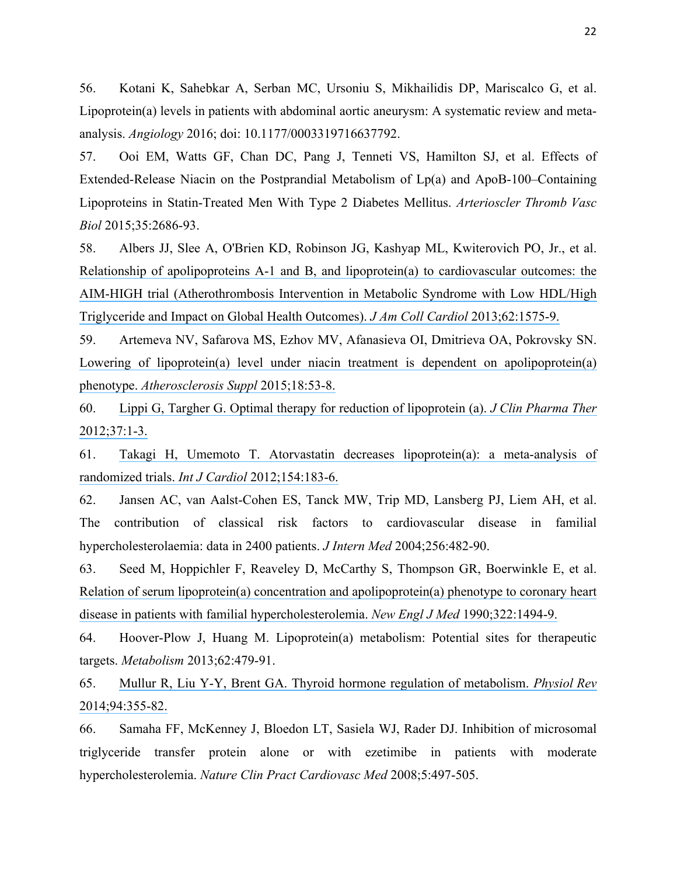56. Kotani K, Sahebkar A, Serban MC, Ursoniu S, Mikhailidis DP, Mariscalco G, et al. Lipoprotein(a) levels in patients with abdominal aortic aneurysm: A systematic review and metaanalysis. *Angiology* 2016; doi: 10.1177/0003319716637792.

57. Ooi EM, Watts GF, Chan DC, Pang J, Tenneti VS, Hamilton SJ, et al. Effects of Extended-Release Niacin on the Postprandial Metabolism of Lp(a) and ApoB-100–Containing Lipoproteins in Statin-Treated Men With Type 2 Diabetes Mellitus. *Arterioscler Thromb Vasc Biol* 2015;35:2686-93.

58. Albers JJ, Slee A, O'Brien KD, Robinson JG, Kashyap ML, Kwiterovich PO, Jr., et al. [Relationship of apolipoproteins A-1 and B, and lipoprotein\(a\) to cardiovascular outcomes: the](https://www.researchgate.net/publication/255690952_Relationship_of_Lipoproteins_to_Cardiovascular_Events_The_AIM-HIGH_Trial_Atherothrombosis_Intervention_in_Metabolic_Syndrome_With_Low_HDLHigh_Triglycerides_and_Impact_on_Global_Health_Outcomes?el=1_x_8&enrichId=rgreq-143536a4-9b63-4353-9f39-64a9e58bfd7a&enrichSource=Y292ZXJQYWdlOzMwMTk3MzE2ODtBUzozNTg4NTgyMTcyNzk0ODhAMTQ2MjU2OTg3NDA5Mw==)  [AIM-HIGH trial \(Atherothrombosis Intervention in Metabolic Syndrome with](https://www.researchgate.net/publication/255690952_Relationship_of_Lipoproteins_to_Cardiovascular_Events_The_AIM-HIGH_Trial_Atherothrombosis_Intervention_in_Metabolic_Syndrome_With_Low_HDLHigh_Triglycerides_and_Impact_on_Global_Health_Outcomes?el=1_x_8&enrichId=rgreq-143536a4-9b63-4353-9f39-64a9e58bfd7a&enrichSource=Y292ZXJQYWdlOzMwMTk3MzE2ODtBUzozNTg4NTgyMTcyNzk0ODhAMTQ2MjU2OTg3NDA5Mw==) Low HDL/High [Triglyceride and Impact on Global Health Outcomes\).](https://www.researchgate.net/publication/255690952_Relationship_of_Lipoproteins_to_Cardiovascular_Events_The_AIM-HIGH_Trial_Atherothrombosis_Intervention_in_Metabolic_Syndrome_With_Low_HDLHigh_Triglycerides_and_Impact_on_Global_Health_Outcomes?el=1_x_8&enrichId=rgreq-143536a4-9b63-4353-9f39-64a9e58bfd7a&enrichSource=Y292ZXJQYWdlOzMwMTk3MzE2ODtBUzozNTg4NTgyMTcyNzk0ODhAMTQ2MjU2OTg3NDA5Mw==) *J Am Coll Cardiol* 2013;62:1575-9.

59. Artemeva NV, Safarova MS, Ezhov MV, Afanasieva OI, Dmitrieva OA, Pokrovsky SN. Lowering of lipoprotein(a) level under niacin treatment is dependent on apolipoprotein(a) phenotype. *[Atherosclerosis Suppl](https://www.researchgate.net/publication/275718470_Lowering_of_lipoproteina_level_under_niacin_treatment_is_dependent_on_apolipoproteina_phenotype?el=1_x_8&enrichId=rgreq-143536a4-9b63-4353-9f39-64a9e58bfd7a&enrichSource=Y292ZXJQYWdlOzMwMTk3MzE2ODtBUzozNTg4NTgyMTcyNzk0ODhAMTQ2MjU2OTg3NDA5Mw==)* 2015;18:53-8.

60. [Lippi G, Targher G. Optimal therapy for reduction of lipoprotein \(a\).](https://www.researchgate.net/publication/221776980_Optimal_therapy_for_reduction_of_lipoproteina?el=1_x_8&enrichId=rgreq-143536a4-9b63-4353-9f39-64a9e58bfd7a&enrichSource=Y292ZXJQYWdlOzMwMTk3MzE2ODtBUzozNTg4NTgyMTcyNzk0ODhAMTQ2MjU2OTg3NDA5Mw==) *J Clin Pharma Ther* [2012;37:1-3.](https://www.researchgate.net/publication/221776980_Optimal_therapy_for_reduction_of_lipoproteina?el=1_x_8&enrichId=rgreq-143536a4-9b63-4353-9f39-64a9e58bfd7a&enrichSource=Y292ZXJQYWdlOzMwMTk3MzE2ODtBUzozNTg4NTgyMTcyNzk0ODhAMTQ2MjU2OTg3NDA5Mw==)

61. [Takagi H, Umemoto T. Atorvastatin decreases lipoprotein\(a\): a meta-analysis of](https://www.researchgate.net/publication/51718078_Atorvastatin_decreases_lipoproteina_A_meta-analysis_of_randomized_trials?el=1_x_8&enrichId=rgreq-143536a4-9b63-4353-9f39-64a9e58bfd7a&enrichSource=Y292ZXJQYWdlOzMwMTk3MzE2ODtBUzozNTg4NTgyMTcyNzk0ODhAMTQ2MjU2OTg3NDA5Mw==) [randomized trials.](https://www.researchgate.net/publication/51718078_Atorvastatin_decreases_lipoproteina_A_meta-analysis_of_randomized_trials?el=1_x_8&enrichId=rgreq-143536a4-9b63-4353-9f39-64a9e58bfd7a&enrichSource=Y292ZXJQYWdlOzMwMTk3MzE2ODtBUzozNTg4NTgyMTcyNzk0ODhAMTQ2MjU2OTg3NDA5Mw==) *Int J Cardiol* 2012;154:183-6.

62. Jansen AC, van Aalst-Cohen ES, Tanck MW, Trip MD, Lansberg PJ, Liem AH, et al. The contribution of classical risk factors to cardiovascular disease in familial hypercholesterolaemia: data in 2400 patients. *J Intern Med* 2004;256:482-90.

63. Seed M, Hoppichler F, Reaveley D, McCarthy S, Thompson GR, Boerwinkle E, et al. [Relation of serum lipoprotein\(a\) concentration and apolipoprotein\(a\) phenotype to coronary heart](https://www.researchgate.net/publication/21015954_Relation_of_Serum_Lipoproteina_Concentration_and_Apolipoproteina_Phenotype_to_Coronary_Heart_Disease_in_Patients_with_Familial_Hypercholesterolemia?el=1_x_8&enrichId=rgreq-143536a4-9b63-4353-9f39-64a9e58bfd7a&enrichSource=Y292ZXJQYWdlOzMwMTk3MzE2ODtBUzozNTg4NTgyMTcyNzk0ODhAMTQ2MjU2OTg3NDA5Mw==)  [disease in patients with familial hypercholesterolemia.](https://www.researchgate.net/publication/21015954_Relation_of_Serum_Lipoproteina_Concentration_and_Apolipoproteina_Phenotype_to_Coronary_Heart_Disease_in_Patients_with_Familial_Hypercholesterolemia?el=1_x_8&enrichId=rgreq-143536a4-9b63-4353-9f39-64a9e58bfd7a&enrichSource=Y292ZXJQYWdlOzMwMTk3MzE2ODtBUzozNTg4NTgyMTcyNzk0ODhAMTQ2MjU2OTg3NDA5Mw==) *New Engl J Med* 1990;322:1494-9.

64. Hoover-Plow J, Huang M. Lipoprotein(a) metabolism: Potential sites for therapeutic targets. *Metabolism* 2013;62:479-91.

65. [Mullur R, Liu Y-Y, Brent GA. Thyroid hormone regulation of metabolism.](https://www.researchgate.net/publication/261294255_Thyroid_Hormone_Regulation_of_Metabolism?el=1_x_8&enrichId=rgreq-143536a4-9b63-4353-9f39-64a9e58bfd7a&enrichSource=Y292ZXJQYWdlOzMwMTk3MzE2ODtBUzozNTg4NTgyMTcyNzk0ODhAMTQ2MjU2OTg3NDA5Mw==) *Physiol Rev* [2014;94:355-82.](https://www.researchgate.net/publication/261294255_Thyroid_Hormone_Regulation_of_Metabolism?el=1_x_8&enrichId=rgreq-143536a4-9b63-4353-9f39-64a9e58bfd7a&enrichSource=Y292ZXJQYWdlOzMwMTk3MzE2ODtBUzozNTg4NTgyMTcyNzk0ODhAMTQ2MjU2OTg3NDA5Mw==)

66. Samaha FF, McKenney J, Bloedon LT, Sasiela WJ, Rader DJ. Inhibition of microsomal triglyceride transfer protein alone or with ezetimibe in patients with moderate hypercholesterolemia. *Nature Clin Pract Cardiovasc Med* 2008;5:497-505.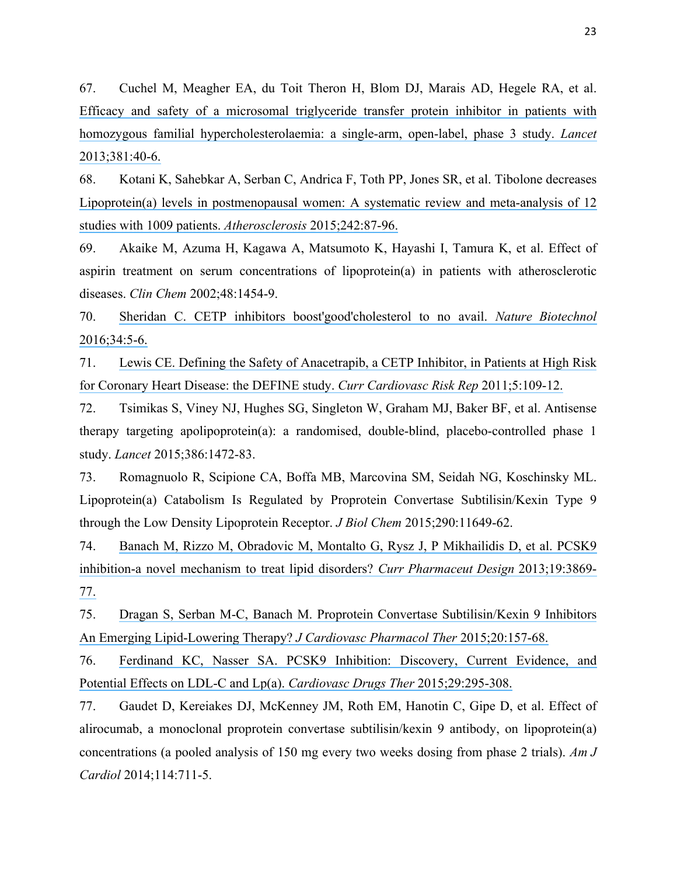67. Cuchel M, Meagher EA, du Toit Theron H, Blom DJ, Marais AD, Hegele RA, et al. [Efficacy and safety of a microsomal triglyceride transfer protein inhibitor in patients with](https://www.researchgate.net/publication/232250379_Efficacy_and_Safety_of_a_Microsomal_Triglyceride_Transfer_Protein_Inhibitor_in_Homozygous_Familial_Hypercholesterolemia?el=1_x_8&enrichId=rgreq-143536a4-9b63-4353-9f39-64a9e58bfd7a&enrichSource=Y292ZXJQYWdlOzMwMTk3MzE2ODtBUzozNTg4NTgyMTcyNzk0ODhAMTQ2MjU2OTg3NDA5Mw==)  [homozygous familial hypercholesterolaemia: a single-arm, open-label, phase 3 study.](https://www.researchgate.net/publication/232250379_Efficacy_and_Safety_of_a_Microsomal_Triglyceride_Transfer_Protein_Inhibitor_in_Homozygous_Familial_Hypercholesterolemia?el=1_x_8&enrichId=rgreq-143536a4-9b63-4353-9f39-64a9e58bfd7a&enrichSource=Y292ZXJQYWdlOzMwMTk3MzE2ODtBUzozNTg4NTgyMTcyNzk0ODhAMTQ2MjU2OTg3NDA5Mw==) *Lancet* [2013;381:40-6.](https://www.researchgate.net/publication/232250379_Efficacy_and_Safety_of_a_Microsomal_Triglyceride_Transfer_Protein_Inhibitor_in_Homozygous_Familial_Hypercholesterolemia?el=1_x_8&enrichId=rgreq-143536a4-9b63-4353-9f39-64a9e58bfd7a&enrichSource=Y292ZXJQYWdlOzMwMTk3MzE2ODtBUzozNTg4NTgyMTcyNzk0ODhAMTQ2MjU2OTg3NDA5Mw==)

68. Kotani K, Sahebkar A, Serban C, Andrica F, Toth PP, Jones SR, et al. Tibolone decreases [Lipoprotein\(a\) levels in postmenopausal women: A systematic review and meta-analysis of 12](https://www.researchgate.net/publication/279537328_Tibolone_Decreases_Lipoproteina_levels_in_Postmenopausal_Women_A_Systematic_Review_and_Meta-Analysis_of_12_studies_with_1009_patients?el=1_x_8&enrichId=rgreq-143536a4-9b63-4353-9f39-64a9e58bfd7a&enrichSource=Y292ZXJQYWdlOzMwMTk3MzE2ODtBUzozNTg4NTgyMTcyNzk0ODhAMTQ2MjU2OTg3NDA5Mw==)  studies with 1009 patients. *Atherosclerosis* [2015;242:87-96.](https://www.researchgate.net/publication/279537328_Tibolone_Decreases_Lipoproteina_levels_in_Postmenopausal_Women_A_Systematic_Review_and_Meta-Analysis_of_12_studies_with_1009_patients?el=1_x_8&enrichId=rgreq-143536a4-9b63-4353-9f39-64a9e58bfd7a&enrichSource=Y292ZXJQYWdlOzMwMTk3MzE2ODtBUzozNTg4NTgyMTcyNzk0ODhAMTQ2MjU2OTg3NDA5Mw==)

69. Akaike M, Azuma H, Kagawa A, Matsumoto K, Hayashi I, Tamura K, et al. Effect of aspirin treatment on serum concentrations of lipoprotein(a) in patients with atherosclerotic diseases. *Clin Chem* 2002;48:1454-9.

70. [Sheridan C. CETP inhibitors boost'good'cholesterol to no avail.](https://www.researchgate.net/publication/289706890_CETP_inhibitors_boost_) *Nature Biotechnol* [2016;34:5-6.](https://www.researchgate.net/publication/289706890_CETP_inhibitors_boost_)

71. [Lewis CE. Defining the Safety of Anacetrapib, a CETP Inhibitor, in Patients at High Risk](https://www.researchgate.net/publication/256614598_Defining_the_Safety_of_Anacetrapib_a_CETP_Inhibitor_in_Patients_at_High_Risk_for_Coronary_Heart_Disease_the_DEFINE_study?el=1_x_8&enrichId=rgreq-143536a4-9b63-4353-9f39-64a9e58bfd7a&enrichSource=Y292ZXJQYWdlOzMwMTk3MzE2ODtBUzozNTg4NTgyMTcyNzk0ODhAMTQ2MjU2OTg3NDA5Mw==)  [for Coronary Heart Disease: the DEFINE study.](https://www.researchgate.net/publication/256614598_Defining_the_Safety_of_Anacetrapib_a_CETP_Inhibitor_in_Patients_at_High_Risk_for_Coronary_Heart_Disease_the_DEFINE_study?el=1_x_8&enrichId=rgreq-143536a4-9b63-4353-9f39-64a9e58bfd7a&enrichSource=Y292ZXJQYWdlOzMwMTk3MzE2ODtBUzozNTg4NTgyMTcyNzk0ODhAMTQ2MjU2OTg3NDA5Mw==) *Curr Cardiovasc Risk Rep* 2011;5:109-12.

72. Tsimikas S, Viney NJ, Hughes SG, Singleton W, Graham MJ, Baker BF, et al. Antisense therapy targeting apolipoprotein(a): a randomised, double-blind, placebo-controlled phase 1 study. *Lancet* 2015;386:1472-83.

73. Romagnuolo R, Scipione CA, Boffa MB, Marcovina SM, Seidah NG, Koschinsky ML. Lipoprotein(a) Catabolism Is Regulated by Proprotein Convertase Subtilisin/Kexin Type 9 through the Low Density Lipoprotein Receptor. *J Biol Chem* 2015;290:11649-62.

74. [Banach M, Rizzo M, Obradovic M, Montalto G, Rysz J, P Mikhailidis D, et al. PCSK9](https://www.researchgate.net/publication/234049355_PCSK9_Inhibition_-_A_Novel_Mechanism_to_Treat_Lipid_Disorders?el=1_x_8&enrichId=rgreq-143536a4-9b63-4353-9f39-64a9e58bfd7a&enrichSource=Y292ZXJQYWdlOzMwMTk3MzE2ODtBUzozNTg4NTgyMTcyNzk0ODhAMTQ2MjU2OTg3NDA5Mw==)  [inhibition-a novel mechanism to treat lipid disorders?](https://www.researchgate.net/publication/234049355_PCSK9_Inhibition_-_A_Novel_Mechanism_to_Treat_Lipid_Disorders?el=1_x_8&enrichId=rgreq-143536a4-9b63-4353-9f39-64a9e58bfd7a&enrichSource=Y292ZXJQYWdlOzMwMTk3MzE2ODtBUzozNTg4NTgyMTcyNzk0ODhAMTQ2MjU2OTg3NDA5Mw==) *Curr Pharmaceut Design* 2013;19:3869- [77.](https://www.researchgate.net/publication/234049355_PCSK9_Inhibition_-_A_Novel_Mechanism_to_Treat_Lipid_Disorders?el=1_x_8&enrichId=rgreq-143536a4-9b63-4353-9f39-64a9e58bfd7a&enrichSource=Y292ZXJQYWdlOzMwMTk3MzE2ODtBUzozNTg4NTgyMTcyNzk0ODhAMTQ2MjU2OTg3NDA5Mw==)

75. [Dragan S, Serban M-C, Banach M. Proprotein Convertase Subtilisin/Kexin 9 Inhibitors](https://www.researchgate.net/publication/263293954_Proprotein_Convertase_SubtilisinKexin_9_Inhibitors_An_Emerging_Lipid-Lowering_Therapy?el=1_x_8&enrichId=rgreq-143536a4-9b63-4353-9f39-64a9e58bfd7a&enrichSource=Y292ZXJQYWdlOzMwMTk3MzE2ODtBUzozNTg4NTgyMTcyNzk0ODhAMTQ2MjU2OTg3NDA5Mw==)  [An Emerging Lipid-Lowering Therapy?](https://www.researchgate.net/publication/263293954_Proprotein_Convertase_SubtilisinKexin_9_Inhibitors_An_Emerging_Lipid-Lowering_Therapy?el=1_x_8&enrichId=rgreq-143536a4-9b63-4353-9f39-64a9e58bfd7a&enrichSource=Y292ZXJQYWdlOzMwMTk3MzE2ODtBUzozNTg4NTgyMTcyNzk0ODhAMTQ2MjU2OTg3NDA5Mw==) *J Cardiovasc Pharmacol Ther* 2015;20:157-68.

76. [Ferdinand KC, Nasser SA. PCSK9 Inhibition: Discovery, Current Evidence, and](https://www.researchgate.net/publication/278040002_PCSK9_Inhibition_Discovery_Current_Evidence_and_Potential_Effects_on_LDL-C_and_Lpa?el=1_x_8&enrichId=rgreq-143536a4-9b63-4353-9f39-64a9e58bfd7a&enrichSource=Y292ZXJQYWdlOzMwMTk3MzE2ODtBUzozNTg4NTgyMTcyNzk0ODhAMTQ2MjU2OTg3NDA5Mw==)  [Potential Effects on LDL-C and Lp\(a\).](https://www.researchgate.net/publication/278040002_PCSK9_Inhibition_Discovery_Current_Evidence_and_Potential_Effects_on_LDL-C_and_Lpa?el=1_x_8&enrichId=rgreq-143536a4-9b63-4353-9f39-64a9e58bfd7a&enrichSource=Y292ZXJQYWdlOzMwMTk3MzE2ODtBUzozNTg4NTgyMTcyNzk0ODhAMTQ2MjU2OTg3NDA5Mw==) *Cardiovasc Drugs Ther* 2015;29:295-308.

77. Gaudet D, Kereiakes DJ, McKenney JM, Roth EM, Hanotin C, Gipe D, et al. Effect of alirocumab, a monoclonal proprotein convertase subtilisin/kexin 9 antibody, on lipoprotein(a) concentrations (a pooled analysis of 150 mg every two weeks dosing from phase 2 trials). *Am J Cardiol* 2014;114:711-5.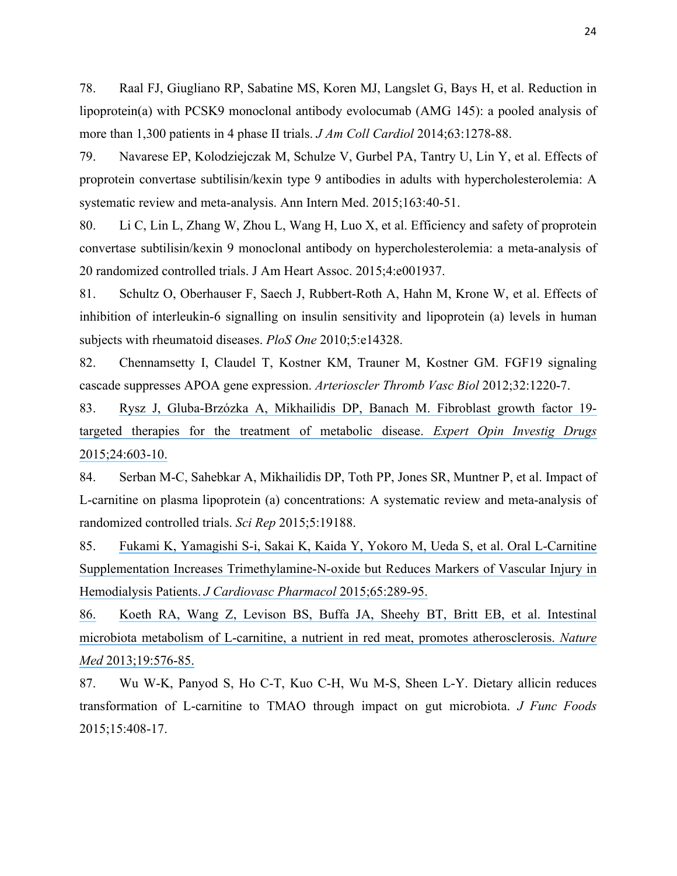78. Raal FJ, Giugliano RP, Sabatine MS, Koren MJ, Langslet G, Bays H, et al. Reduction in lipoprotein(a) with PCSK9 monoclonal antibody evolocumab (AMG 145): a pooled analysis of more than 1,300 patients in 4 phase II trials. *J Am Coll Cardiol* 2014;63:1278-88.

79. Navarese EP, Kolodziejczak M, Schulze V, Gurbel PA, Tantry U, Lin Y, et al. Effects of proprotein convertase subtilisin/kexin type 9 antibodies in adults with hypercholesterolemia: A systematic review and meta-analysis. Ann Intern Med. 2015;163:40-51.

80. Li C, Lin L, Zhang W, Zhou L, Wang H, Luo X, et al. Efficiency and safety of proprotein convertase subtilisin/kexin 9 monoclonal antibody on hypercholesterolemia: a meta-analysis of 20 randomized controlled trials. J Am Heart Assoc. 2015;4:e001937.

81. Schultz O, Oberhauser F, Saech J, Rubbert-Roth A, Hahn M, Krone W, et al. Effects of inhibition of interleukin-6 signalling on insulin sensitivity and lipoprotein (a) levels in human subjects with rheumatoid diseases. *PloS One* 2010;5:e14328.

82. Chennamsetty I, Claudel T, Kostner KM, Trauner M, Kostner GM. FGF19 signaling cascade suppresses APOA gene expression. *Arterioscler Thromb Vasc Biol* 2012;32:1220-7.

83. [Rysz J, Gluba-Brzózka A, Mikhailidis DP, Banach M. Fibroblast growth factor 19](https://www.researchgate.net/publication/271216774_Fibroblast_growth_factor_19-targeted_therapies_for_the_treatment_of_metabolic_disease?el=1_x_8&enrichId=rgreq-143536a4-9b63-4353-9f39-64a9e58bfd7a&enrichSource=Y292ZXJQYWdlOzMwMTk3MzE2ODtBUzozNTg4NTgyMTcyNzk0ODhAMTQ2MjU2OTg3NDA5Mw==) [targeted therapies for the treatment of metabolic disease.](https://www.researchgate.net/publication/271216774_Fibroblast_growth_factor_19-targeted_therapies_for_the_treatment_of_metabolic_disease?el=1_x_8&enrichId=rgreq-143536a4-9b63-4353-9f39-64a9e58bfd7a&enrichSource=Y292ZXJQYWdlOzMwMTk3MzE2ODtBUzozNTg4NTgyMTcyNzk0ODhAMTQ2MjU2OTg3NDA5Mw==) *Expert Opin Investig Drugs* [2015;24:603-10.](https://www.researchgate.net/publication/271216774_Fibroblast_growth_factor_19-targeted_therapies_for_the_treatment_of_metabolic_disease?el=1_x_8&enrichId=rgreq-143536a4-9b63-4353-9f39-64a9e58bfd7a&enrichSource=Y292ZXJQYWdlOzMwMTk3MzE2ODtBUzozNTg4NTgyMTcyNzk0ODhAMTQ2MjU2OTg3NDA5Mw==)

84. Serban M-C, Sahebkar A, Mikhailidis DP, Toth PP, Jones SR, Muntner P, et al. Impact of L-carnitine on plasma lipoprotein (a) concentrations: A systematic review and meta-analysis of randomized controlled trials. *Sci Rep* 2015;5:19188.

85. [Fukami K, Yamagishi S-i, Sakai K, Kaida Y, Yokoro M, Ueda S, et al. Oral L-Carnitine](https://www.researchgate.net/publication/271591834_Oral_L-Carnitine_Supplementation_Increases_Trimethylamine-N-oxide_but_Reduces_Markers_of_Vascular_Injury_in_Hemodialysis_Patients?el=1_x_8&enrichId=rgreq-143536a4-9b63-4353-9f39-64a9e58bfd7a&enrichSource=Y292ZXJQYWdlOzMwMTk3MzE2ODtBUzozNTg4NTgyMTcyNzk0ODhAMTQ2MjU2OTg3NDA5Mw==)  [Supplementation Increases Trimethylamine-N-oxide but Reduces Markers of Vascular Injury in](https://www.researchgate.net/publication/271591834_Oral_L-Carnitine_Supplementation_Increases_Trimethylamine-N-oxide_but_Reduces_Markers_of_Vascular_Injury_in_Hemodialysis_Patients?el=1_x_8&enrichId=rgreq-143536a4-9b63-4353-9f39-64a9e58bfd7a&enrichSource=Y292ZXJQYWdlOzMwMTk3MzE2ODtBUzozNTg4NTgyMTcyNzk0ODhAMTQ2MjU2OTg3NDA5Mw==)  Hemodialysis Patients. *[J Cardiovasc Pharmacol](https://www.researchgate.net/publication/271591834_Oral_L-Carnitine_Supplementation_Increases_Trimethylamine-N-oxide_but_Reduces_Markers_of_Vascular_Injury_in_Hemodialysis_Patients?el=1_x_8&enrichId=rgreq-143536a4-9b63-4353-9f39-64a9e58bfd7a&enrichSource=Y292ZXJQYWdlOzMwMTk3MzE2ODtBUzozNTg4NTgyMTcyNzk0ODhAMTQ2MjU2OTg3NDA5Mw==)* 2015;65:289-95.

[86.](https://www.researchgate.net/publication/271591834_Oral_L-Carnitine_Supplementation_Increases_Trimethylamine-N-oxide_but_Reduces_Markers_of_Vascular_Injury_in_Hemodialysis_Patients?el=1_x_8&enrichId=rgreq-143536a4-9b63-4353-9f39-64a9e58bfd7a&enrichSource=Y292ZXJQYWdlOzMwMTk3MzE2ODtBUzozNTg4NTgyMTcyNzk0ODhAMTQ2MjU2OTg3NDA5Mw==) [Koeth RA, Wang Z, Levison BS, Buffa JA, Sheehy BT, Britt EB, et al. Intestinal](https://www.researchgate.net/publication/271591834_Oral_L-Carnitine_Supplementation_Increases_Trimethylamine-N-oxide_but_Reduces_Markers_of_Vascular_Injury_in_Hemodialysis_Patients?el=1_x_8&enrichId=rgreq-143536a4-9b63-4353-9f39-64a9e58bfd7a&enrichSource=Y292ZXJQYWdlOzMwMTk3MzE2ODtBUzozNTg4NTgyMTcyNzk0ODhAMTQ2MjU2OTg3NDA5Mw==)  [microbiota metabolism of L-carnitine, a nutrient in red meat, promotes atherosclerosis.](https://www.researchgate.net/publication/271591834_Oral_L-Carnitine_Supplementation_Increases_Trimethylamine-N-oxide_but_Reduces_Markers_of_Vascular_Injury_in_Hemodialysis_Patients?el=1_x_8&enrichId=rgreq-143536a4-9b63-4353-9f39-64a9e58bfd7a&enrichSource=Y292ZXJQYWdlOzMwMTk3MzE2ODtBUzozNTg4NTgyMTcyNzk0ODhAMTQ2MjU2OTg3NDA5Mw==) *Nature Med* [2013;19:576-85.](https://www.researchgate.net/publication/271591834_Oral_L-Carnitine_Supplementation_Increases_Trimethylamine-N-oxide_but_Reduces_Markers_of_Vascular_Injury_in_Hemodialysis_Patients?el=1_x_8&enrichId=rgreq-143536a4-9b63-4353-9f39-64a9e58bfd7a&enrichSource=Y292ZXJQYWdlOzMwMTk3MzE2ODtBUzozNTg4NTgyMTcyNzk0ODhAMTQ2MjU2OTg3NDA5Mw==)

87. Wu W-K, Panyod S, Ho C-T, Kuo C-H, Wu M-S, Sheen L-Y. Dietary allicin reduces transformation of L-carnitine to TMAO through impact on gut microbiota. *J Func Foods* 2015;15:408-17.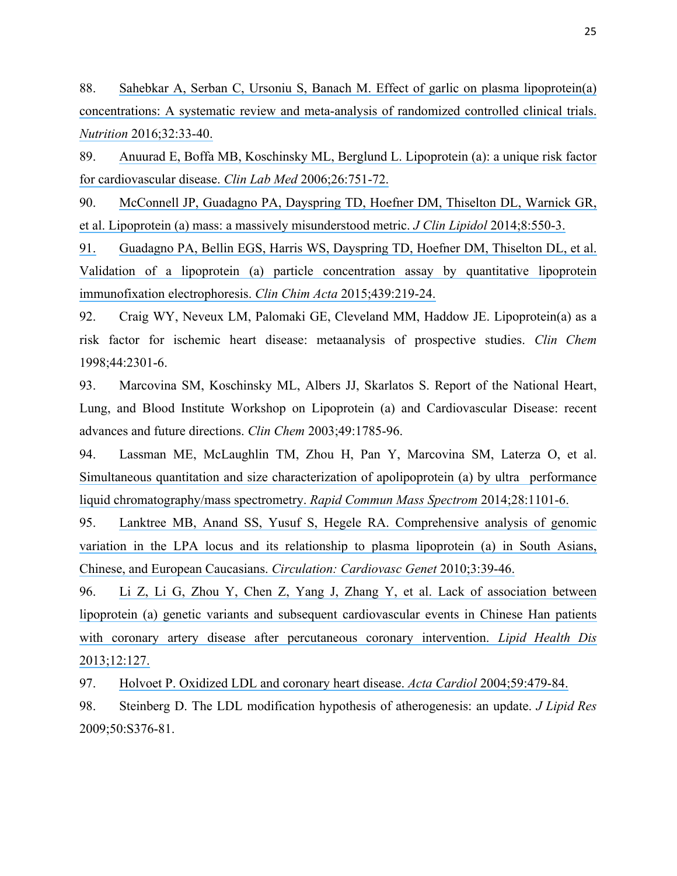88. [Sahebkar A, Serban C, Ursoniu S, Banach M. Effect of garlic on plasma lipoprotein\(a\)](https://www.researchgate.net/publication/280112997_Effect_of_garlic_on_plasma_Lipoproteina_Concentrations_A_Systematic_Review_and_Meta-Analysis_of_Randomized_Controlled_Clinical_Trials?el=1_x_8&enrichId=rgreq-143536a4-9b63-4353-9f39-64a9e58bfd7a&enrichSource=Y292ZXJQYWdlOzMwMTk3MzE2ODtBUzozNTg4NTgyMTcyNzk0ODhAMTQ2MjU2OTg3NDA5Mw==)  [concentrations: A systematic review and meta-analysis of randomized controlled clinical trials.](https://www.researchgate.net/publication/280112997_Effect_of_garlic_on_plasma_Lipoproteina_Concentrations_A_Systematic_Review_and_Meta-Analysis_of_Randomized_Controlled_Clinical_Trials?el=1_x_8&enrichId=rgreq-143536a4-9b63-4353-9f39-64a9e58bfd7a&enrichSource=Y292ZXJQYWdlOzMwMTk3MzE2ODtBUzozNTg4NTgyMTcyNzk0ODhAMTQ2MjU2OTg3NDA5Mw==)  *Nutrition* [2016;32:33-40.](https://www.researchgate.net/publication/280112997_Effect_of_garlic_on_plasma_Lipoproteina_Concentrations_A_Systematic_Review_and_Meta-Analysis_of_Randomized_Controlled_Clinical_Trials?el=1_x_8&enrichId=rgreq-143536a4-9b63-4353-9f39-64a9e58bfd7a&enrichSource=Y292ZXJQYWdlOzMwMTk3MzE2ODtBUzozNTg4NTgyMTcyNzk0ODhAMTQ2MjU2OTg3NDA5Mw==)

89. [Anuurad E, Boffa MB, Koschinsky ML, Berglund L. Lipoprotein \(a\): a unique risk factor](https://www.researchgate.net/publication/6688122_Lipoproteina_A_Unique_Risk_Factor_for_Cardiovascular_Disease?el=1_x_8&enrichId=rgreq-143536a4-9b63-4353-9f39-64a9e58bfd7a&enrichSource=Y292ZXJQYWdlOzMwMTk3MzE2ODtBUzozNTg4NTgyMTcyNzk0ODhAMTQ2MjU2OTg3NDA5Mw==)  [for cardiovascular disease.](https://www.researchgate.net/publication/6688122_Lipoproteina_A_Unique_Risk_Factor_for_Cardiovascular_Disease?el=1_x_8&enrichId=rgreq-143536a4-9b63-4353-9f39-64a9e58bfd7a&enrichSource=Y292ZXJQYWdlOzMwMTk3MzE2ODtBUzozNTg4NTgyMTcyNzk0ODhAMTQ2MjU2OTg3NDA5Mw==) *Clin Lab Med* 2006;26:751-72.

90. [McConnell JP, Guadagno PA, Dayspring TD, Hoefner DM, Thiselton DL, Warnick GR,](https://www.researchgate.net/publication/264937327_Lipoproteina_Mass_A_Massively_Misunderstood_Metric?el=1_x_8&enrichId=rgreq-143536a4-9b63-4353-9f39-64a9e58bfd7a&enrichSource=Y292ZXJQYWdlOzMwMTk3MzE2ODtBUzozNTg4NTgyMTcyNzk0ODhAMTQ2MjU2OTg3NDA5Mw==)  [et al. Lipoprotein \(a\) mass: a massively misunderstood metric.](https://www.researchgate.net/publication/264937327_Lipoproteina_Mass_A_Massively_Misunderstood_Metric?el=1_x_8&enrichId=rgreq-143536a4-9b63-4353-9f39-64a9e58bfd7a&enrichSource=Y292ZXJQYWdlOzMwMTk3MzE2ODtBUzozNTg4NTgyMTcyNzk0ODhAMTQ2MjU2OTg3NDA5Mw==) *J Clin Lipidol* 2014;8:550-3.

[91.](https://www.researchgate.net/publication/264937327_Lipoproteina_Mass_A_Massively_Misunderstood_Metric?el=1_x_8&enrichId=rgreq-143536a4-9b63-4353-9f39-64a9e58bfd7a&enrichSource=Y292ZXJQYWdlOzMwMTk3MzE2ODtBUzozNTg4NTgyMTcyNzk0ODhAMTQ2MjU2OTg3NDA5Mw==) [Guadagno PA, Bellin EGS, Harris WS, Dayspring TD, Hoefner DM, Thiselton DL, et al.](https://www.researchgate.net/publication/264937327_Lipoproteina_Mass_A_Massively_Misunderstood_Metric?el=1_x_8&enrichId=rgreq-143536a4-9b63-4353-9f39-64a9e58bfd7a&enrichSource=Y292ZXJQYWdlOzMwMTk3MzE2ODtBUzozNTg4NTgyMTcyNzk0ODhAMTQ2MjU2OTg3NDA5Mw==)  [Validation of a lipoprotein \(a\) particle concentration assay by quantitative lipoprotein](https://www.researchgate.net/publication/266972778_Validation_of_Lipoproteina_Particle_Concentration_Assay_by_Quantitative_Lipoprotein_Immunofixation_Electrophoresis?el=1_x_8&enrichId=rgreq-143536a4-9b63-4353-9f39-64a9e58bfd7a&enrichSource=Y292ZXJQYWdlOzMwMTk3MzE2ODtBUzozNTg4NTgyMTcyNzk0ODhAMTQ2MjU2OTg3NDA5Mw==)  [immunofixation electrophoresis.](https://www.researchgate.net/publication/266972778_Validation_of_Lipoproteina_Particle_Concentration_Assay_by_Quantitative_Lipoprotein_Immunofixation_Electrophoresis?el=1_x_8&enrichId=rgreq-143536a4-9b63-4353-9f39-64a9e58bfd7a&enrichSource=Y292ZXJQYWdlOzMwMTk3MzE2ODtBUzozNTg4NTgyMTcyNzk0ODhAMTQ2MjU2OTg3NDA5Mw==) *Clin Chim Acta* 2015;439:219-24.

92. Craig WY, Neveux LM, Palomaki GE, Cleveland MM, Haddow JE. Lipoprotein(a) as a risk factor for ischemic heart disease: metaanalysis of prospective studies. *Clin Chem* 1998;44:2301-6.

93. Marcovina SM, Koschinsky ML, Albers JJ, Skarlatos S. Report of the National Heart, Lung, and Blood Institute Workshop on Lipoprotein (a) and Cardiovascular Disease: recent advances and future directions. *Clin Chem* 2003;49:1785-96.

94. Lassman ME, McLaughlin TM, Zhou H, Pan Y, Marcovina SM, Laterza O, et al. Simultaneous quantitation and size characterization of apolipoprotein (a) by ultra performance [liquid chromatography/mass spectrometry.](https://www.researchgate.net/publication/261330527_Simultaneous_quantitation_and_size_characterization_of_apolipoproteina_by_ultra-performance_liquid_chromatographymass_spectrometry?el=1_x_8&enrichId=rgreq-143536a4-9b63-4353-9f39-64a9e58bfd7a&enrichSource=Y292ZXJQYWdlOzMwMTk3MzE2ODtBUzozNTg4NTgyMTcyNzk0ODhAMTQ2MjU2OTg3NDA5Mw==) *Rapid Commun Mass Spectrom* 2014;28:1101-6.

95. [Lanktree MB, Anand SS, Yusuf S, Hegele RA. Comprehensive analysis of genomic](https://www.researchgate.net/publication/41451991_Comprehensive_Analysis_of_Genomic_Variation_in_the_LPA_Locus_and_Its_Relationship_to_Plasma_Lipoproteina_in_South_Asians_Chinese_and_European_Caucasians?el=1_x_8&enrichId=rgreq-143536a4-9b63-4353-9f39-64a9e58bfd7a&enrichSource=Y292ZXJQYWdlOzMwMTk3MzE2ODtBUzozNTg4NTgyMTcyNzk0ODhAMTQ2MjU2OTg3NDA5Mw==)  [variation in the LPA locus and its relationship to plasma lipoprotein \(a\) in South Asians,](https://www.researchgate.net/publication/41451991_Comprehensive_Analysis_of_Genomic_Variation_in_the_LPA_Locus_and_Its_Relationship_to_Plasma_Lipoproteina_in_South_Asians_Chinese_and_European_Caucasians?el=1_x_8&enrichId=rgreq-143536a4-9b63-4353-9f39-64a9e58bfd7a&enrichSource=Y292ZXJQYWdlOzMwMTk3MzE2ODtBUzozNTg4NTgyMTcyNzk0ODhAMTQ2MjU2OTg3NDA5Mw==)  [Chinese, and European Caucasians.](https://www.researchgate.net/publication/41451991_Comprehensive_Analysis_of_Genomic_Variation_in_the_LPA_Locus_and_Its_Relationship_to_Plasma_Lipoproteina_in_South_Asians_Chinese_and_European_Caucasians?el=1_x_8&enrichId=rgreq-143536a4-9b63-4353-9f39-64a9e58bfd7a&enrichSource=Y292ZXJQYWdlOzMwMTk3MzE2ODtBUzozNTg4NTgyMTcyNzk0ODhAMTQ2MjU2OTg3NDA5Mw==) *Circulation: Cardiovasc Genet* 2010;3:39-46.

96. [Li Z, Li G, Zhou Y, Chen Z, Yang J, Zhang Y, et al. Lack of association between](https://www.researchgate.net/publication/256118277_Lack_of_association_between_lipoproteina_genetic_variants_and_subsequent_cardiovascular_events_in_Chinese_Han_patients_with_coronary_artery_disease_after_percutaneous_coronary_intervention?el=1_x_8&enrichId=rgreq-143536a4-9b63-4353-9f39-64a9e58bfd7a&enrichSource=Y292ZXJQYWdlOzMwMTk3MzE2ODtBUzozNTg4NTgyMTcyNzk0ODhAMTQ2MjU2OTg3NDA5Mw==)  [lipoprotein \(a\) genetic variants and subsequent cardiovascular events in Chinese Han patients](https://www.researchgate.net/publication/256118277_Lack_of_association_between_lipoproteina_genetic_variants_and_subsequent_cardiovascular_events_in_Chinese_Han_patients_with_coronary_artery_disease_after_percutaneous_coronary_intervention?el=1_x_8&enrichId=rgreq-143536a4-9b63-4353-9f39-64a9e58bfd7a&enrichSource=Y292ZXJQYWdlOzMwMTk3MzE2ODtBUzozNTg4NTgyMTcyNzk0ODhAMTQ2MjU2OTg3NDA5Mw==)  [with coronary artery disease after percutaneous coronary intervention.](https://www.researchgate.net/publication/256118277_Lack_of_association_between_lipoproteina_genetic_variants_and_subsequent_cardiovascular_events_in_Chinese_Han_patients_with_coronary_artery_disease_after_percutaneous_coronary_intervention?el=1_x_8&enrichId=rgreq-143536a4-9b63-4353-9f39-64a9e58bfd7a&enrichSource=Y292ZXJQYWdlOzMwMTk3MzE2ODtBUzozNTg4NTgyMTcyNzk0ODhAMTQ2MjU2OTg3NDA5Mw==) *Lipid Health Dis* [2013;12:127.](https://www.researchgate.net/publication/256118277_Lack_of_association_between_lipoproteina_genetic_variants_and_subsequent_cardiovascular_events_in_Chinese_Han_patients_with_coronary_artery_disease_after_percutaneous_coronary_intervention?el=1_x_8&enrichId=rgreq-143536a4-9b63-4353-9f39-64a9e58bfd7a&enrichSource=Y292ZXJQYWdlOzMwMTk3MzE2ODtBUzozNTg4NTgyMTcyNzk0ODhAMTQ2MjU2OTg3NDA5Mw==)

97. [Holvoet P. Oxidized LDL and coronary heart disease.](https://www.researchgate.net/publication/8190377_Oxidized_LDL_and_coronary_heart_disease?el=1_x_8&enrichId=rgreq-143536a4-9b63-4353-9f39-64a9e58bfd7a&enrichSource=Y292ZXJQYWdlOzMwMTk3MzE2ODtBUzozNTg4NTgyMTcyNzk0ODhAMTQ2MjU2OTg3NDA5Mw==) *Acta Cardiol* 2004;59:479-84.

98. Steinberg D. The LDL modification hypothesis of atherogenesis: an update. *J Lipid Res* 2009;50:S376-81.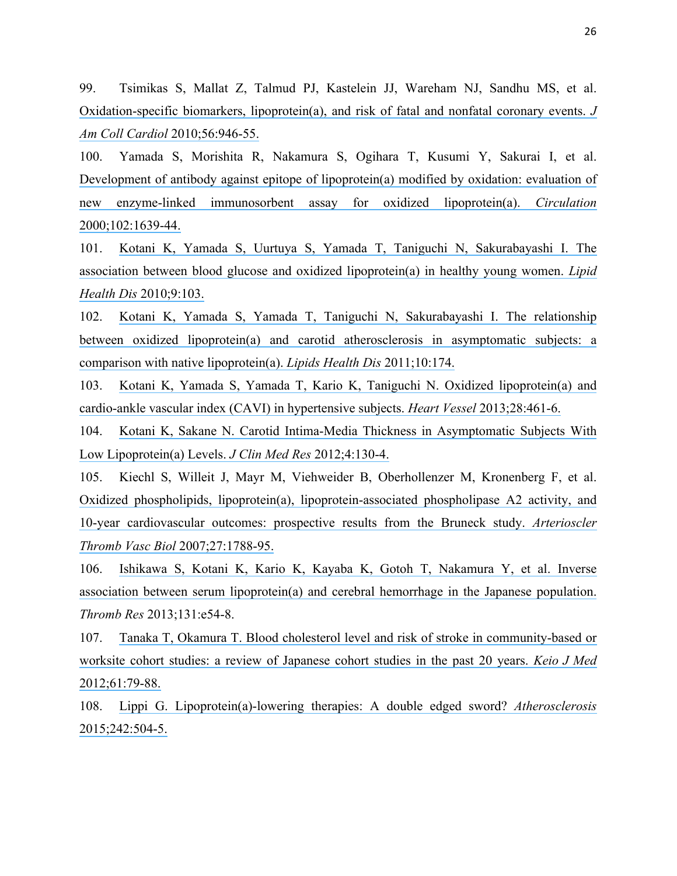99. Tsimikas S, Mallat Z, Talmud PJ, Kastelein JJ, Wareham NJ, Sandhu MS, et al. [Oxidation-specific biomarkers, lipoprotein\(a\), and risk of fatal and nonfatal coronary events.](https://www.researchgate.net/publication/46190736_Oxidation-Specific_Biomarkers_Lipoproteina_and_Risk_of_Fatal_and_Nonfatal_Coronary_Events?el=1_x_8&enrichId=rgreq-143536a4-9b63-4353-9f39-64a9e58bfd7a&enrichSource=Y292ZXJQYWdlOzMwMTk3MzE2ODtBUzozNTg4NTgyMTcyNzk0ODhAMTQ2MjU2OTg3NDA5Mw==) *J [Am Coll Cardiol](https://www.researchgate.net/publication/46190736_Oxidation-Specific_Biomarkers_Lipoproteina_and_Risk_of_Fatal_and_Nonfatal_Coronary_Events?el=1_x_8&enrichId=rgreq-143536a4-9b63-4353-9f39-64a9e58bfd7a&enrichSource=Y292ZXJQYWdlOzMwMTk3MzE2ODtBUzozNTg4NTgyMTcyNzk0ODhAMTQ2MjU2OTg3NDA5Mw==)* 2010;56:946-55.

100. Yamada S, Morishita R, Nakamura S, Ogihara T, Kusumi Y, Sakurai I, et al. [Development of antibody against epitope of lipoprotein\(a\) modified by oxidation: evaluation of](https://www.researchgate.net/publication/12309061_Development_of_antibody_against_epitope_of_lipoproteina_modified_by_oxidation_-_Evaluation_of_new_enzyme-linked_immunosorbent_assay_for_oxidized_lipoproteina?el=1_x_8&enrichId=rgreq-143536a4-9b63-4353-9f39-64a9e58bfd7a&enrichSource=Y292ZXJQYWdlOzMwMTk3MzE2ODtBUzozNTg4NTgyMTcyNzk0ODhAMTQ2MjU2OTg3NDA5Mw==)  [new enzyme-linked immunosorbent assay for oxidized lipoprotein\(a\).](https://www.researchgate.net/publication/12309061_Development_of_antibody_against_epitope_of_lipoproteina_modified_by_oxidation_-_Evaluation_of_new_enzyme-linked_immunosorbent_assay_for_oxidized_lipoproteina?el=1_x_8&enrichId=rgreq-143536a4-9b63-4353-9f39-64a9e58bfd7a&enrichSource=Y292ZXJQYWdlOzMwMTk3MzE2ODtBUzozNTg4NTgyMTcyNzk0ODhAMTQ2MjU2OTg3NDA5Mw==) *Circulation* [2000;102:1639-44.](https://www.researchgate.net/publication/12309061_Development_of_antibody_against_epitope_of_lipoproteina_modified_by_oxidation_-_Evaluation_of_new_enzyme-linked_immunosorbent_assay_for_oxidized_lipoproteina?el=1_x_8&enrichId=rgreq-143536a4-9b63-4353-9f39-64a9e58bfd7a&enrichSource=Y292ZXJQYWdlOzMwMTk3MzE2ODtBUzozNTg4NTgyMTcyNzk0ODhAMTQ2MjU2OTg3NDA5Mw==)

101. [Kotani K, Yamada S, Uurtuya S, Yamada T, Taniguchi N, Sakurabayashi I. The](https://www.researchgate.net/publication/46392637_The_association_between_blood_glucose_and_oxidized_lipoproteina_in_healthy_young_women?el=1_x_8&enrichId=rgreq-143536a4-9b63-4353-9f39-64a9e58bfd7a&enrichSource=Y292ZXJQYWdlOzMwMTk3MzE2ODtBUzozNTg4NTgyMTcyNzk0ODhAMTQ2MjU2OTg3NDA5Mw==)  [association between blood glucose and oxidized lipoprotein\(a\) in healthy young women.](https://www.researchgate.net/publication/46392637_The_association_between_blood_glucose_and_oxidized_lipoproteina_in_healthy_young_women?el=1_x_8&enrichId=rgreq-143536a4-9b63-4353-9f39-64a9e58bfd7a&enrichSource=Y292ZXJQYWdlOzMwMTk3MzE2ODtBUzozNTg4NTgyMTcyNzk0ODhAMTQ2MjU2OTg3NDA5Mw==) *Lipid Health Dis* [2010;9:103.](https://www.researchgate.net/publication/46392637_The_association_between_blood_glucose_and_oxidized_lipoproteina_in_healthy_young_women?el=1_x_8&enrichId=rgreq-143536a4-9b63-4353-9f39-64a9e58bfd7a&enrichSource=Y292ZXJQYWdlOzMwMTk3MzE2ODtBUzozNTg4NTgyMTcyNzk0ODhAMTQ2MjU2OTg3NDA5Mw==)

102. [Kotani K, Yamada S, Yamada T, Taniguchi N, Sakurabayashi I. The relationship](https://www.researchgate.net/publication/51693015_The_relationship_between_oxidized_lipoproteina_and_carotid_atherosclerosis_in_asymptomatic_subjects_A_comparison_with_native_lipoproteina?el=1_x_8&enrichId=rgreq-143536a4-9b63-4353-9f39-64a9e58bfd7a&enrichSource=Y292ZXJQYWdlOzMwMTk3MzE2ODtBUzozNTg4NTgyMTcyNzk0ODhAMTQ2MjU2OTg3NDA5Mw==)  [between oxidized lipoprotein\(a\) and carotid atherosclerosis in asymptomatic subjects: a](https://www.researchgate.net/publication/51693015_The_relationship_between_oxidized_lipoproteina_and_carotid_atherosclerosis_in_asymptomatic_subjects_A_comparison_with_native_lipoproteina?el=1_x_8&enrichId=rgreq-143536a4-9b63-4353-9f39-64a9e58bfd7a&enrichSource=Y292ZXJQYWdlOzMwMTk3MzE2ODtBUzozNTg4NTgyMTcyNzk0ODhAMTQ2MjU2OTg3NDA5Mw==)  [comparison with native lipoprotein\(a\).](https://www.researchgate.net/publication/51693015_The_relationship_between_oxidized_lipoproteina_and_carotid_atherosclerosis_in_asymptomatic_subjects_A_comparison_with_native_lipoproteina?el=1_x_8&enrichId=rgreq-143536a4-9b63-4353-9f39-64a9e58bfd7a&enrichSource=Y292ZXJQYWdlOzMwMTk3MzE2ODtBUzozNTg4NTgyMTcyNzk0ODhAMTQ2MjU2OTg3NDA5Mw==) *Lipids Health Dis* 2011;10:174.

103. [Kotani K, Yamada S, Yamada T, Kario K, Taniguchi N. Oxidized lipoprotein\(a\) and](https://www.researchgate.net/publication/227342399_Oxidized_lipoproteina_and_cardio-ankle_vascular_index_CAVI_in_hypertensive_subjects?el=1_x_8&enrichId=rgreq-143536a4-9b63-4353-9f39-64a9e58bfd7a&enrichSource=Y292ZXJQYWdlOzMwMTk3MzE2ODtBUzozNTg4NTgyMTcyNzk0ODhAMTQ2MjU2OTg3NDA5Mw==)  [cardio-ankle vascular index \(CAVI\) in hypertensive subjects.](https://www.researchgate.net/publication/227342399_Oxidized_lipoproteina_and_cardio-ankle_vascular_index_CAVI_in_hypertensive_subjects?el=1_x_8&enrichId=rgreq-143536a4-9b63-4353-9f39-64a9e58bfd7a&enrichSource=Y292ZXJQYWdlOzMwMTk3MzE2ODtBUzozNTg4NTgyMTcyNzk0ODhAMTQ2MjU2OTg3NDA5Mw==) *Heart Vessel* 2013;28:461-6.

104. [Kotani K, Sakane N. Carotid Intima-Media Thickness in Asymptomatic Subjects With](https://www.researchgate.net/publication/224050187_Carotid_Intima-Media_Thickness_in_Asymptomatic_Subjects_With_Low_Lipoproteina_Levels?el=1_x_8&enrichId=rgreq-143536a4-9b63-4353-9f39-64a9e58bfd7a&enrichSource=Y292ZXJQYWdlOzMwMTk3MzE2ODtBUzozNTg4NTgyMTcyNzk0ODhAMTQ2MjU2OTg3NDA5Mw==)  [Low Lipoprotein\(a\) Levels.](https://www.researchgate.net/publication/224050187_Carotid_Intima-Media_Thickness_in_Asymptomatic_Subjects_With_Low_Lipoproteina_Levels?el=1_x_8&enrichId=rgreq-143536a4-9b63-4353-9f39-64a9e58bfd7a&enrichSource=Y292ZXJQYWdlOzMwMTk3MzE2ODtBUzozNTg4NTgyMTcyNzk0ODhAMTQ2MjU2OTg3NDA5Mw==) *J Clin Med Res* 2012;4:130-4.

105. Kiechl S, Willeit J, Mayr M, Viehweider B, Oberhollenzer M, Kronenberg F, et al. Oxidized phospholipids, lipoprotein(a), lipoprotein-associated phospholipase A2 activity, and [10-year cardiovascular outcomes: prospective results from the Bruneck study.](https://www.researchgate.net/publication/6295359_Oxidized_Phospholipids_Lipoproteina_Lipoprotein-Associated_Phospholipase_A2_Activity_and_10-Year_Cardiovascular_Outcomes_Prospective_Results_From_the_Bruneck_Study?el=1_x_8&enrichId=rgreq-143536a4-9b63-4353-9f39-64a9e58bfd7a&enrichSource=Y292ZXJQYWdlOzMwMTk3MzE2ODtBUzozNTg4NTgyMTcyNzk0ODhAMTQ2MjU2OTg3NDA5Mw==) *Arterioscler [Thromb Vasc Biol](https://www.researchgate.net/publication/6295359_Oxidized_Phospholipids_Lipoproteina_Lipoprotein-Associated_Phospholipase_A2_Activity_and_10-Year_Cardiovascular_Outcomes_Prospective_Results_From_the_Bruneck_Study?el=1_x_8&enrichId=rgreq-143536a4-9b63-4353-9f39-64a9e58bfd7a&enrichSource=Y292ZXJQYWdlOzMwMTk3MzE2ODtBUzozNTg4NTgyMTcyNzk0ODhAMTQ2MjU2OTg3NDA5Mw==)* 2007;27:1788-95.

106. [Ishikawa S, Kotani K, Kario K, Kayaba K, Gotoh T, Nakamura Y, et al. Inverse](https://www.researchgate.net/publication/233973728_Inverse_association_between_serum_lipoproteina_and_cerebral_hemorrhage_in_the_Japanese_population?el=1_x_8&enrichId=rgreq-143536a4-9b63-4353-9f39-64a9e58bfd7a&enrichSource=Y292ZXJQYWdlOzMwMTk3MzE2ODtBUzozNTg4NTgyMTcyNzk0ODhAMTQ2MjU2OTg3NDA5Mw==)  [association between serum lipoprotein\(a\) and cerebral hemorrhage in the Japanese population.](https://www.researchgate.net/publication/233973728_Inverse_association_between_serum_lipoproteina_and_cerebral_hemorrhage_in_the_Japanese_population?el=1_x_8&enrichId=rgreq-143536a4-9b63-4353-9f39-64a9e58bfd7a&enrichSource=Y292ZXJQYWdlOzMwMTk3MzE2ODtBUzozNTg4NTgyMTcyNzk0ODhAMTQ2MjU2OTg3NDA5Mw==)  *Thromb Res* 2013;131:e54-8.

107. [Tanaka T, Okamura T. Blood cholesterol level and risk of stroke in community-based or](https://www.researchgate.net/publication/231224741_Blood_Cholesterol_Level_and_Risk_of_Stroke_in_Community-based_or_Worksite_Cohort_Studies_A_Review_of_Japanese_Cohort_Studies_in_the_Past_20_years?el=1_x_8&enrichId=rgreq-143536a4-9b63-4353-9f39-64a9e58bfd7a&enrichSource=Y292ZXJQYWdlOzMwMTk3MzE2ODtBUzozNTg4NTgyMTcyNzk0ODhAMTQ2MjU2OTg3NDA5Mw==)  [worksite cohort studies: a review of Japanese cohort studies in the past 20 years.](https://www.researchgate.net/publication/231224741_Blood_Cholesterol_Level_and_Risk_of_Stroke_in_Community-based_or_Worksite_Cohort_Studies_A_Review_of_Japanese_Cohort_Studies_in_the_Past_20_years?el=1_x_8&enrichId=rgreq-143536a4-9b63-4353-9f39-64a9e58bfd7a&enrichSource=Y292ZXJQYWdlOzMwMTk3MzE2ODtBUzozNTg4NTgyMTcyNzk0ODhAMTQ2MjU2OTg3NDA5Mw==) *Keio J Med* [2012;61:79-88.](https://www.researchgate.net/publication/231224741_Blood_Cholesterol_Level_and_Risk_of_Stroke_in_Community-based_or_Worksite_Cohort_Studies_A_Review_of_Japanese_Cohort_Studies_in_the_Past_20_years?el=1_x_8&enrichId=rgreq-143536a4-9b63-4353-9f39-64a9e58bfd7a&enrichSource=Y292ZXJQYWdlOzMwMTk3MzE2ODtBUzozNTg4NTgyMTcyNzk0ODhAMTQ2MjU2OTg3NDA5Mw==)

108. [Lippi G. Lipoprotein\(a\)-lowering therapies: A double edged sword?](https://www.researchgate.net/publication/281062364_Lipoproteina-lowering_therapies_A_double_edged_sword?el=1_x_8&enrichId=rgreq-143536a4-9b63-4353-9f39-64a9e58bfd7a&enrichSource=Y292ZXJQYWdlOzMwMTk3MzE2ODtBUzozNTg4NTgyMTcyNzk0ODhAMTQ2MjU2OTg3NDA5Mw==) *Atherosclerosis* [2015;242:504-5.](https://www.researchgate.net/publication/281062364_Lipoproteina-lowering_therapies_A_double_edged_sword?el=1_x_8&enrichId=rgreq-143536a4-9b63-4353-9f39-64a9e58bfd7a&enrichSource=Y292ZXJQYWdlOzMwMTk3MzE2ODtBUzozNTg4NTgyMTcyNzk0ODhAMTQ2MjU2OTg3NDA5Mw==)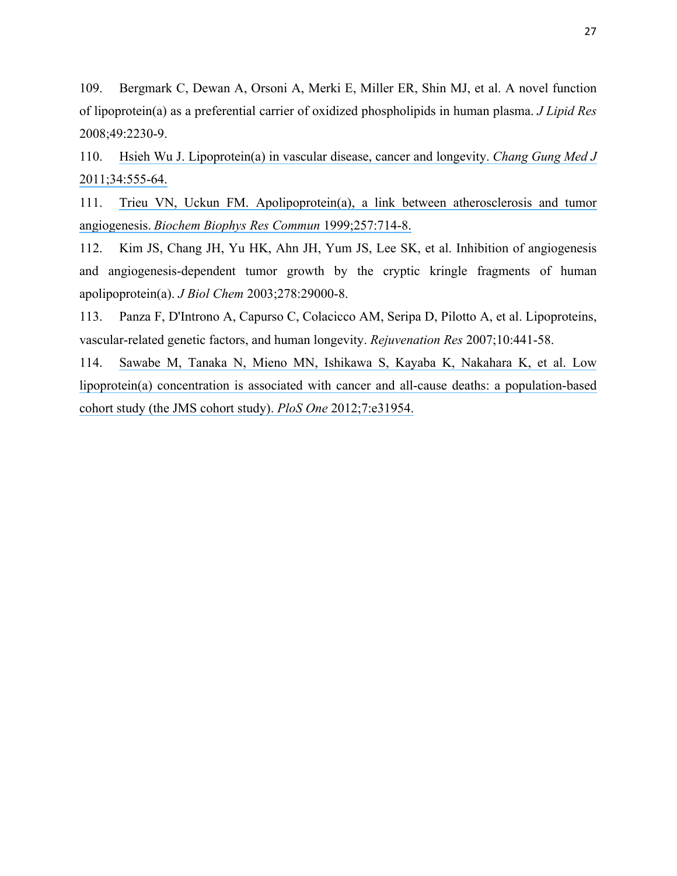109. Bergmark C, Dewan A, Orsoni A, Merki E, Miller ER, Shin MJ, et al. A novel function of lipoprotein(a) as a preferential carrier of oxidized phospholipids in human plasma. *J Lipid Res* 2008;49:2230-9.

110. [Hsieh Wu J. Lipoprotein\(a\) in vascular disease, cancer and longevity.](https://www.researchgate.net/publication/51921938_Lipoproteina_in_Vascular_Disease_Cancer_and_Longevity?el=1_x_8&enrichId=rgreq-143536a4-9b63-4353-9f39-64a9e58bfd7a&enrichSource=Y292ZXJQYWdlOzMwMTk3MzE2ODtBUzozNTg4NTgyMTcyNzk0ODhAMTQ2MjU2OTg3NDA5Mw==) *Chang Gung Med J* [2011;34:555-64.](https://www.researchgate.net/publication/51921938_Lipoproteina_in_Vascular_Disease_Cancer_and_Longevity?el=1_x_8&enrichId=rgreq-143536a4-9b63-4353-9f39-64a9e58bfd7a&enrichSource=Y292ZXJQYWdlOzMwMTk3MzE2ODtBUzozNTg4NTgyMTcyNzk0ODhAMTQ2MjU2OTg3NDA5Mw==)

111. [Trieu VN, Uckun FM. Apolipoprotein\(a\), a link between atherosclerosis and tumor](https://www.researchgate.net/publication/13089185_Apolipoproteina_a_Link_between_Atherosclerosis_and_Tumor_Angiogenesis?el=1_x_8&enrichId=rgreq-143536a4-9b63-4353-9f39-64a9e58bfd7a&enrichSource=Y292ZXJQYWdlOzMwMTk3MzE2ODtBUzozNTg4NTgyMTcyNzk0ODhAMTQ2MjU2OTg3NDA5Mw==)  angiogenesis. *[Biochem Biophys Res Commun](https://www.researchgate.net/publication/13089185_Apolipoproteina_a_Link_between_Atherosclerosis_and_Tumor_Angiogenesis?el=1_x_8&enrichId=rgreq-143536a4-9b63-4353-9f39-64a9e58bfd7a&enrichSource=Y292ZXJQYWdlOzMwMTk3MzE2ODtBUzozNTg4NTgyMTcyNzk0ODhAMTQ2MjU2OTg3NDA5Mw==)* 1999;257:714-8.

112. Kim JS, Chang JH, Yu HK, Ahn JH, Yum JS, Lee SK, et al. Inhibition of angiogenesis and angiogenesis-dependent tumor growth by the cryptic kringle fragments of human apolipoprotein(a). *J Biol Chem* 2003;278:29000-8.

113. Panza F, D'Introno A, Capurso C, Colacicco AM, Seripa D, Pilotto A, et al. Lipoproteins, vascular-related genetic factors, and human longevity. *Rejuvenation Res* 2007;10:441-58.

114. [Sawabe M, Tanaka N, Mieno MN, Ishikawa S, Kayaba K, Nakahara K, et al. Low](https://www.researchgate.net/publication/223966570_Low_Lipoproteina_Concentration_Is_Associated_with_Cancer_and_All-Cause_Deaths_A_Population-Based_Cohort_Study_The_JMS_Cohort_Study?el=1_x_8&enrichId=rgreq-143536a4-9b63-4353-9f39-64a9e58bfd7a&enrichSource=Y292ZXJQYWdlOzMwMTk3MzE2ODtBUzozNTg4NTgyMTcyNzk0ODhAMTQ2MjU2OTg3NDA5Mw==)  [lipoprotein\(a\) concentration is associated with cancer and all-cause deaths: a population-based](https://www.researchgate.net/publication/223966570_Low_Lipoproteina_Concentration_Is_Associated_with_Cancer_and_All-Cause_Deaths_A_Population-Based_Cohort_Study_The_JMS_Cohort_Study?el=1_x_8&enrichId=rgreq-143536a4-9b63-4353-9f39-64a9e58bfd7a&enrichSource=Y292ZXJQYWdlOzMwMTk3MzE2ODtBUzozNTg4NTgyMTcyNzk0ODhAMTQ2MjU2OTg3NDA5Mw==)  [cohort study \(the JMS cohort study\).](https://www.researchgate.net/publication/223966570_Low_Lipoproteina_Concentration_Is_Associated_with_Cancer_and_All-Cause_Deaths_A_Population-Based_Cohort_Study_The_JMS_Cohort_Study?el=1_x_8&enrichId=rgreq-143536a4-9b63-4353-9f39-64a9e58bfd7a&enrichSource=Y292ZXJQYWdlOzMwMTk3MzE2ODtBUzozNTg4NTgyMTcyNzk0ODhAMTQ2MjU2OTg3NDA5Mw==) *PloS One* 2012;7:e31954.